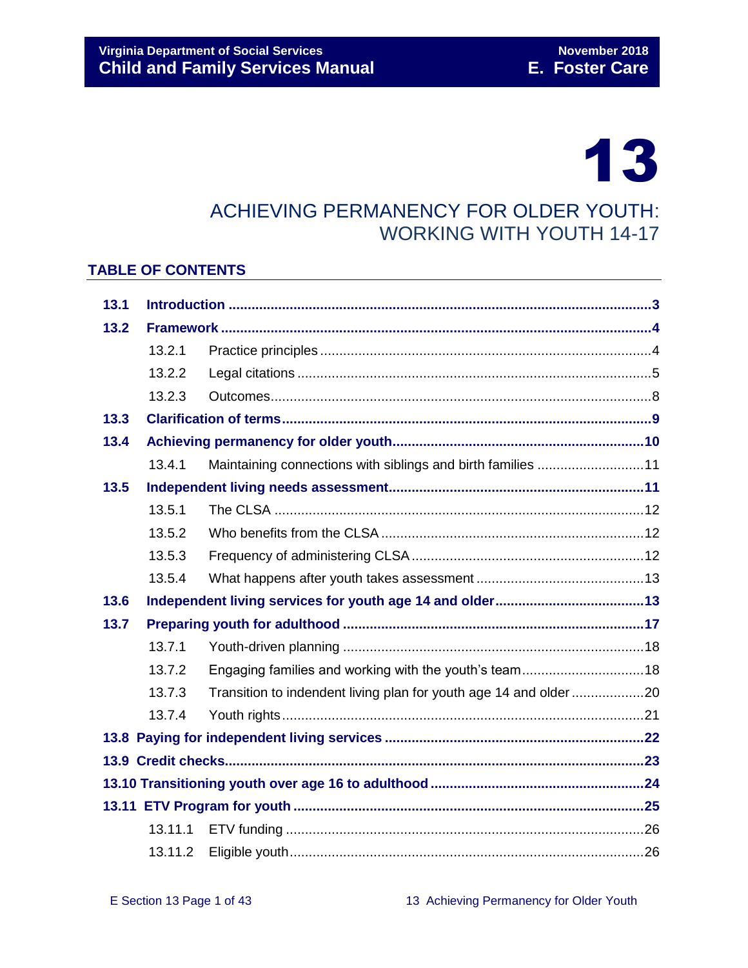# 13

# ACHIEVING PERMANENCY FOR OLDER YOUTH: WORKING WITH YOUTH 14-17

#### **TABLE OF CONTENTS**

| 13.1 |         |                                                                  |  |  |  |
|------|---------|------------------------------------------------------------------|--|--|--|
| 13.2 |         |                                                                  |  |  |  |
|      | 13.2.1  |                                                                  |  |  |  |
|      | 13.2.2  |                                                                  |  |  |  |
|      | 13.2.3  |                                                                  |  |  |  |
| 13.3 |         |                                                                  |  |  |  |
| 13.4 |         |                                                                  |  |  |  |
|      | 13.4.1  | Maintaining connections with siblings and birth families 11      |  |  |  |
| 13.5 |         |                                                                  |  |  |  |
|      | 13.5.1  |                                                                  |  |  |  |
|      | 13.5.2  |                                                                  |  |  |  |
|      | 13.5.3  |                                                                  |  |  |  |
|      | 13.5.4  |                                                                  |  |  |  |
| 13.6 |         |                                                                  |  |  |  |
| 13.7 |         |                                                                  |  |  |  |
|      | 13.7.1  |                                                                  |  |  |  |
|      | 13.7.2  | Engaging families and working with the youth's team18            |  |  |  |
|      | 13.7.3  | Transition to indendent living plan for youth age 14 and older20 |  |  |  |
|      | 13.7.4  |                                                                  |  |  |  |
|      |         |                                                                  |  |  |  |
|      |         |                                                                  |  |  |  |
|      |         |                                                                  |  |  |  |
|      |         |                                                                  |  |  |  |
|      | 13.11.1 |                                                                  |  |  |  |
|      | 13.11.2 |                                                                  |  |  |  |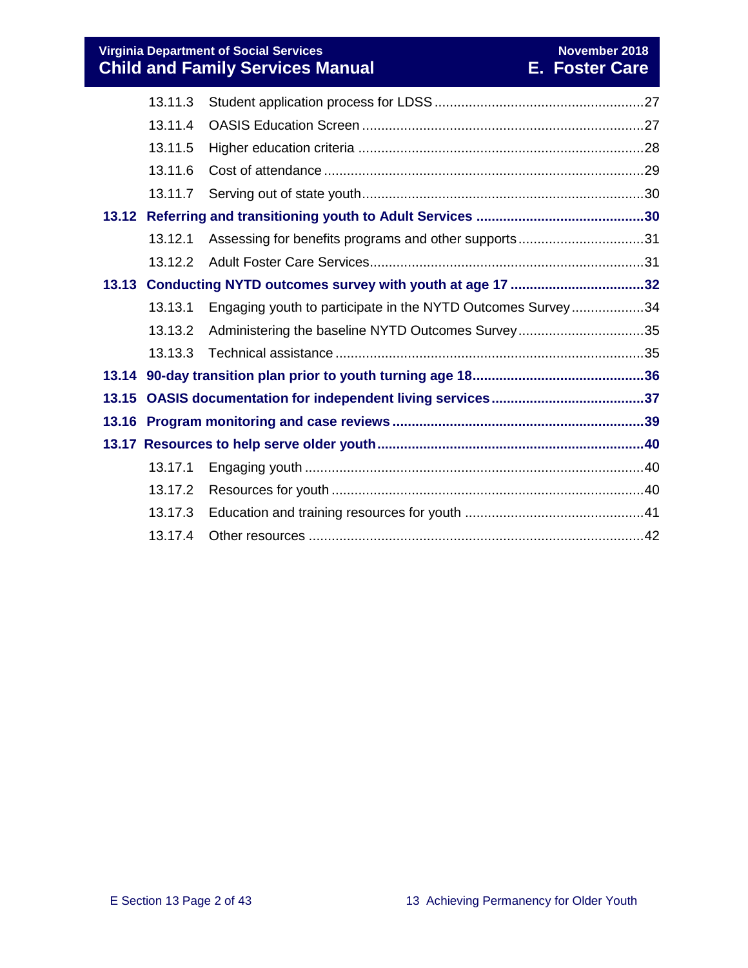|                    | 13.11.3 |                                                             |  |
|--------------------|---------|-------------------------------------------------------------|--|
| 13.11.4<br>13.11.5 |         |                                                             |  |
|                    |         |                                                             |  |
|                    | 13.11.6 |                                                             |  |
|                    | 13.11.7 |                                                             |  |
|                    |         |                                                             |  |
|                    | 13.12.1 | Assessing for benefits programs and other supports31        |  |
|                    | 13.12.2 |                                                             |  |
|                    |         |                                                             |  |
|                    | 13.13.1 | Engaging youth to participate in the NYTD Outcomes Survey34 |  |
|                    | 13.13.2 | Administering the baseline NYTD Outcomes Survey35           |  |
|                    | 13.13.3 |                                                             |  |
|                    |         |                                                             |  |
|                    |         |                                                             |  |
|                    |         |                                                             |  |
|                    |         |                                                             |  |
|                    | 13.17.1 |                                                             |  |
|                    | 13.17.2 |                                                             |  |
|                    | 13.17.3 |                                                             |  |
|                    | 13.17.4 |                                                             |  |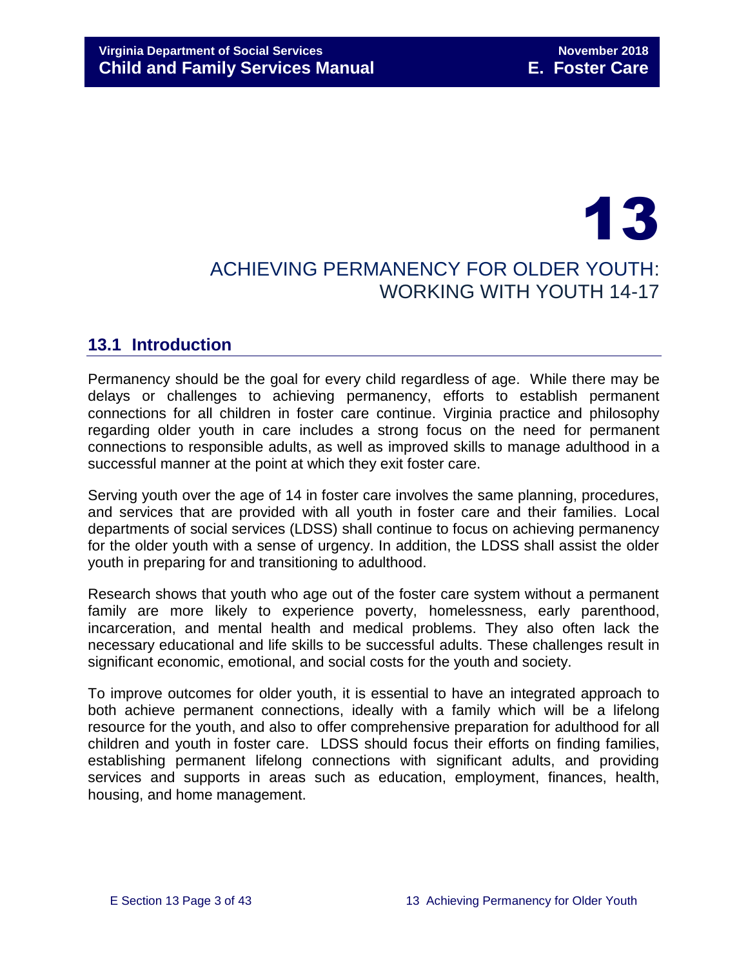# 13 ACHIEVING PERMANENCY FOR OLDER YOUTH: WORKING WITH YOUTH 14-17

# <span id="page-2-0"></span>**13.1 Introduction**

Permanency should be the goal for every child regardless of age. While there may be delays or challenges to achieving permanency, efforts to establish permanent connections for all children in foster care continue. Virginia practice and philosophy regarding older youth in care includes a strong focus on the need for permanent connections to responsible adults, as well as improved skills to manage adulthood in a successful manner at the point at which they exit foster care.

Serving youth over the age of 14 in foster care involves the same planning, procedures, and services that are provided with all youth in foster care and their families. Local departments of social services (LDSS) shall continue to focus on achieving permanency for the older youth with a sense of urgency. In addition, the LDSS shall assist the older youth in preparing for and transitioning to adulthood.

Research shows that youth who age out of the foster care system without a permanent family are more likely to experience poverty, homelessness, early parenthood, incarceration, and mental health and medical problems. They also often lack the necessary educational and life skills to be successful adults. These challenges result in significant economic, emotional, and social costs for the youth and society.

To improve outcomes for older youth, it is essential to have an integrated approach to both achieve permanent connections, ideally with a family which will be a lifelong resource for the youth, and also to offer comprehensive preparation for adulthood for all children and youth in foster care. LDSS should focus their efforts on finding families, establishing permanent lifelong connections with significant adults, and providing services and supports in areas such as education, employment, finances, health, housing, and home management.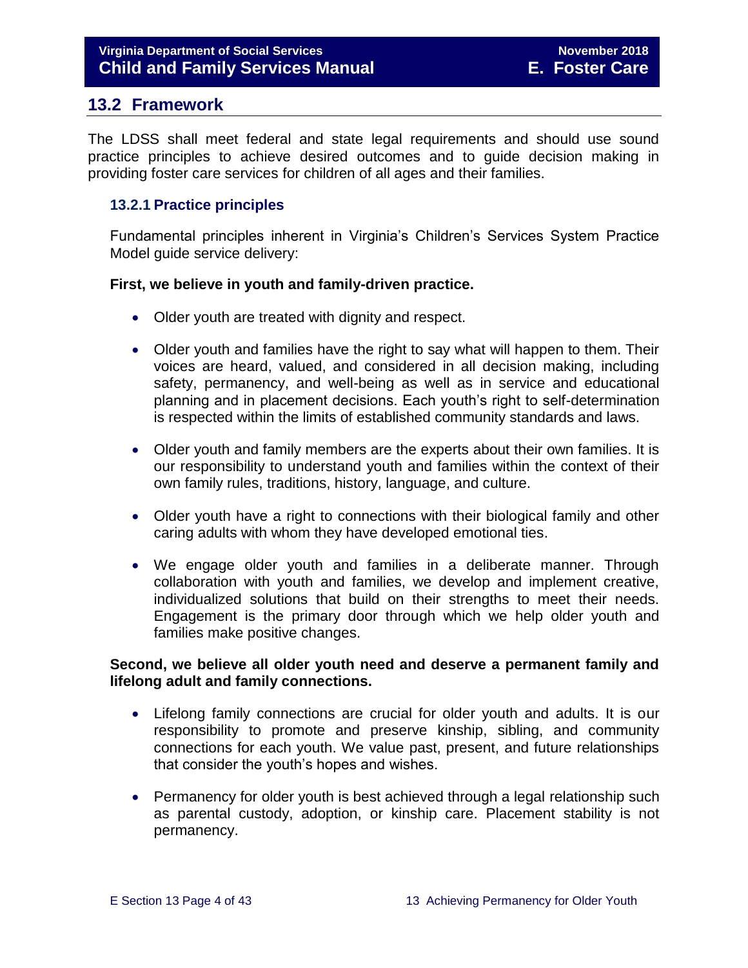### <span id="page-3-0"></span>**13.2 Framework**

The LDSS shall meet federal and state legal requirements and should use sound practice principles to achieve desired outcomes and to guide decision making in providing foster care services for children of all ages and their families.

#### <span id="page-3-1"></span>**13.2.1 Practice principles**

Fundamental principles inherent in Virginia's Children's Services System Practice Model guide service delivery:

#### **First, we believe in youth and family-driven practice.**

- Older youth are treated with dignity and respect.
- Older youth and families have the right to say what will happen to them. Their voices are heard, valued, and considered in all decision making, including safety, permanency, and well-being as well as in service and educational planning and in placement decisions. Each youth's right to self-determination is respected within the limits of established community standards and laws.
- Older youth and family members are the experts about their own families. It is our responsibility to understand youth and families within the context of their own family rules, traditions, history, language, and culture.
- Older youth have a right to connections with their biological family and other caring adults with whom they have developed emotional ties.
- We engage older youth and families in a deliberate manner. Through collaboration with youth and families, we develop and implement creative, individualized solutions that build on their strengths to meet their needs. Engagement is the primary door through which we help older youth and families make positive changes.

#### **Second, we believe all older youth need and deserve a permanent family and lifelong adult and family connections.**

- Lifelong family connections are crucial for older youth and adults. It is our responsibility to promote and preserve kinship, sibling, and community connections for each youth. We value past, present, and future relationships that consider the youth's hopes and wishes.
- Permanency for older youth is best achieved through a legal relationship such as parental custody, adoption, or kinship care. Placement stability is not permanency.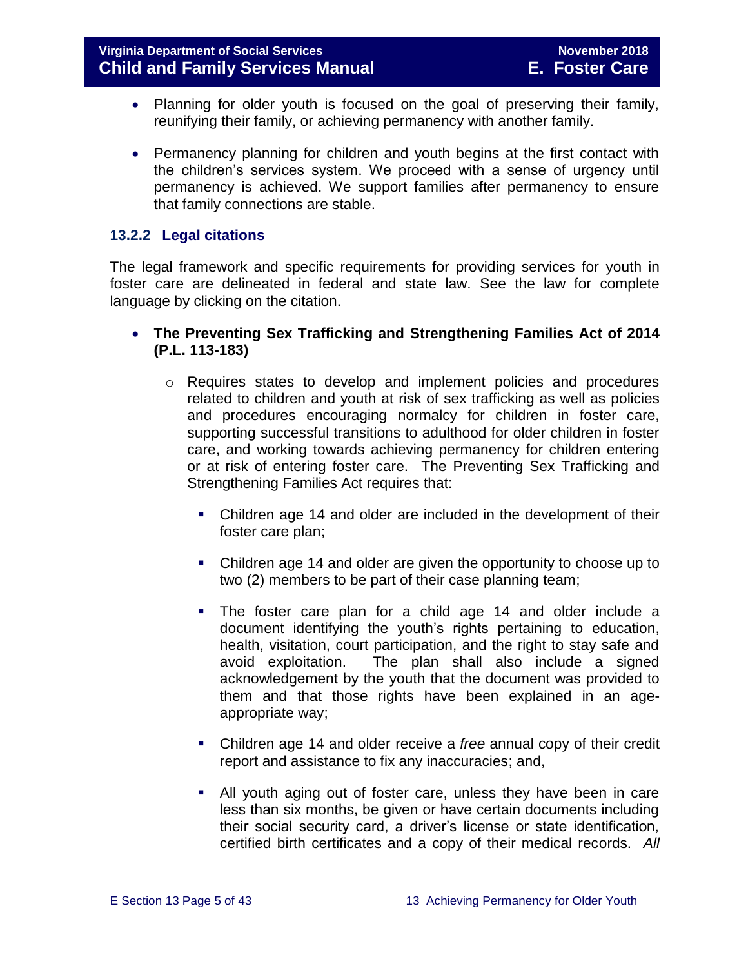- Planning for older youth is focused on the goal of preserving their family, reunifying their family, or achieving permanency with another family.
- Permanency planning for children and youth begins at the first contact with the children's services system. We proceed with a sense of urgency until permanency is achieved. We support families after permanency to ensure that family connections are stable.

#### <span id="page-4-0"></span>**13.2.2 Legal citations**

The legal framework and specific requirements for providing services for youth in foster care are delineated in federal and state law. See the law for complete language by clicking on the citation.

- **The Preventing Sex Trafficking and Strengthening Families Act of 2014 (P.L. 113-183)**
	- o Requires states to develop and implement policies and procedures related to children and youth at risk of sex trafficking as well as policies and procedures encouraging normalcy for children in foster care, supporting successful transitions to adulthood for older children in foster care, and working towards achieving permanency for children entering or at risk of entering foster care. The Preventing Sex Trafficking and Strengthening Families Act requires that:
		- Children age 14 and older are included in the development of their foster care plan;
		- Children age 14 and older are given the opportunity to choose up to two (2) members to be part of their case planning team;
		- The foster care plan for a child age 14 and older include a document identifying the youth's rights pertaining to education, health, visitation, court participation, and the right to stay safe and avoid exploitation. The plan shall also include a signed acknowledgement by the youth that the document was provided to them and that those rights have been explained in an ageappropriate way;
		- Children age 14 and older receive a *free* annual copy of their credit report and assistance to fix any inaccuracies; and,
		- All youth aging out of foster care, unless they have been in care less than six months, be given or have certain documents including their social security card, a driver's license or state identification, certified birth certificates and a copy of their medical records. *All*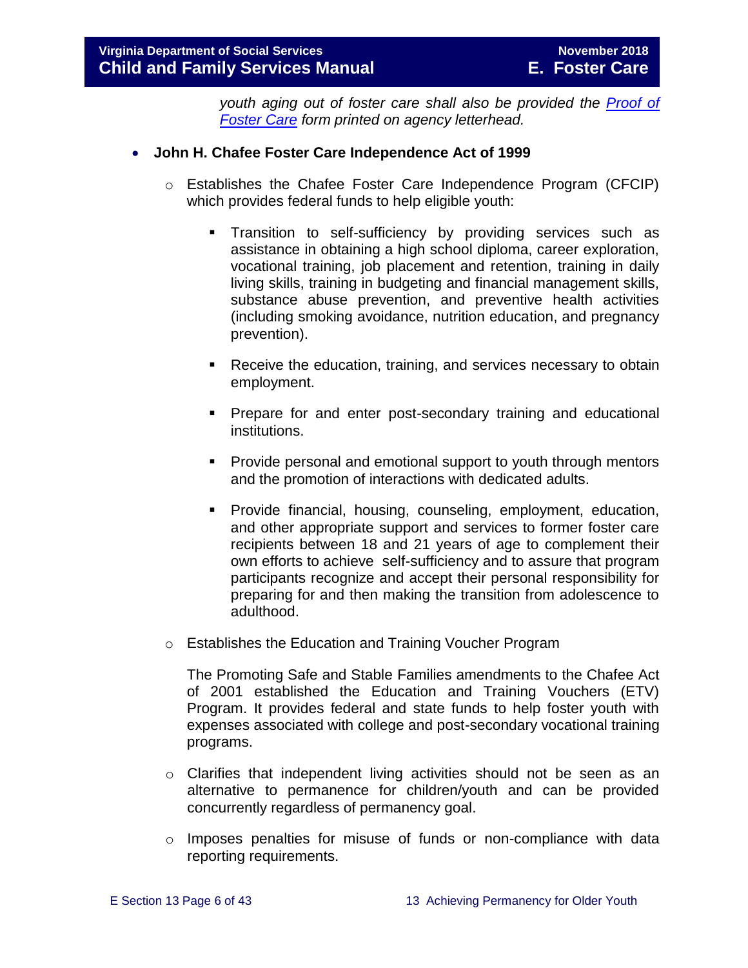*youth aging out of foster care shall also be provided the [Proof of](http://spark.dss.virginia.gov/divisions/dfs/fc/forms.cgi)  [Foster Care](http://spark.dss.virginia.gov/divisions/dfs/fc/forms.cgi) form printed on agency letterhead.* 

#### **John H. Chafee Foster Care Independence Act of 1999**

- o Establishes the Chafee Foster Care Independence Program (CFCIP) which provides federal funds to help eligible youth:
	- Transition to self-sufficiency by providing services such as assistance in obtaining a high school diploma, career exploration, vocational training, job placement and retention, training in daily living skills, training in budgeting and financial management skills, substance abuse prevention, and preventive health activities (including smoking avoidance, nutrition education, and pregnancy prevention).
	- **Receive the education, training, and services necessary to obtain** employment.
	- **Prepare for and enter post-secondary training and educational** institutions.
	- **Provide personal and emotional support to youth through mentors** and the promotion of interactions with dedicated adults.
	- **Provide financial, housing, counseling, employment, education,** and other appropriate support and services to former foster care recipients between 18 and 21 years of age to complement their own efforts to achieve self-sufficiency and to assure that program participants recognize and accept their personal responsibility for preparing for and then making the transition from adolescence to adulthood.
- o Establishes the Education and Training Voucher Program

The Promoting Safe and Stable Families amendments to the Chafee Act of 2001 established the Education and Training Vouchers (ETV) Program. It provides federal and state funds to help foster youth with expenses associated with college and post-secondary vocational training programs.

- o Clarifies that independent living activities should not be seen as an alternative to permanence for children/youth and can be provided concurrently regardless of permanency goal.
- o Imposes penalties for misuse of funds or non-compliance with data reporting requirements.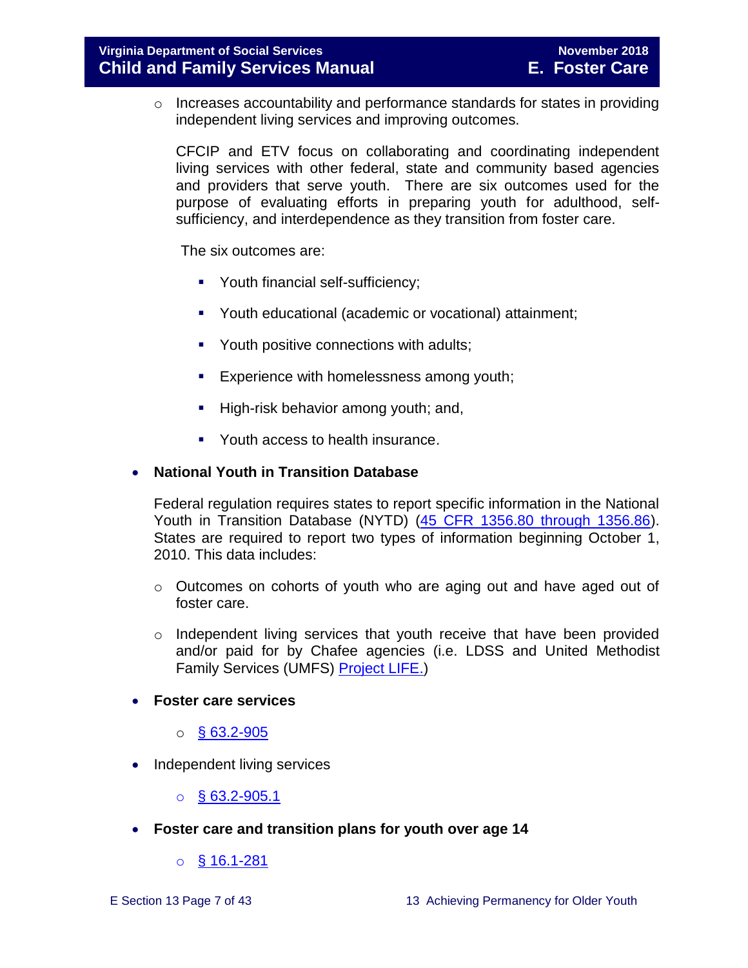o Increases accountability and performance standards for states in providing independent living services and improving outcomes.

CFCIP and ETV focus on collaborating and coordinating independent living services with other federal, state and community based agencies and providers that serve youth. There are six outcomes used for the purpose of evaluating efforts in preparing youth for adulthood, selfsufficiency, and interdependence as they transition from foster care.

The six outcomes are:

- **•** Youth financial self-sufficiency;
- Youth educational (academic or vocational) attainment;
- Youth positive connections with adults;
- **Experience with homelessness among youth;**
- High-risk behavior among youth; and,
- Youth access to health insurance.

#### **National Youth in Transition Database**

Federal regulation requires states to report specific information in the National Youth in Transition Database (NYTD) [\(45 CFR 1356.80 through 1356.86\)](http://www.ecfr.gov/cgi-bin/retrieveECFR?gp=1&SID=3d9be8b33d08994a45cff8aaff9f9476&ty=HTML&h=L&mc=true&r=PART&n=pt45.4.1356). States are required to report two types of information beginning October 1, 2010. This data includes:

- $\circ$  Outcomes on cohorts of youth who are aging out and have aged out of foster care.
- $\circ$  Independent living services that youth receive that have been provided and/or paid for by Chafee agencies (i.e. LDSS and United Methodist Family Services (UMFS) [Project LIFE.](http://www.vaprojectlife.org/))
- **Foster care services** 
	- $\circ$  [§ 63.2-905](http://law.lis.virginia.gov/vacode/title63.2/chapter9/section63.2-905/)
- Independent living services

 $\circ$  [§ 63.2-905.1](http://law.lis.virginia.gov/vacode/title63.2/chapter9/section63.2-905.1/)

- **Foster care and transition plans for youth over age 14** 
	- $\circ$  [§ 16.1-281](http://law.lis.virginia.gov/vacode/title16.1/chapter11/section16.1-281/)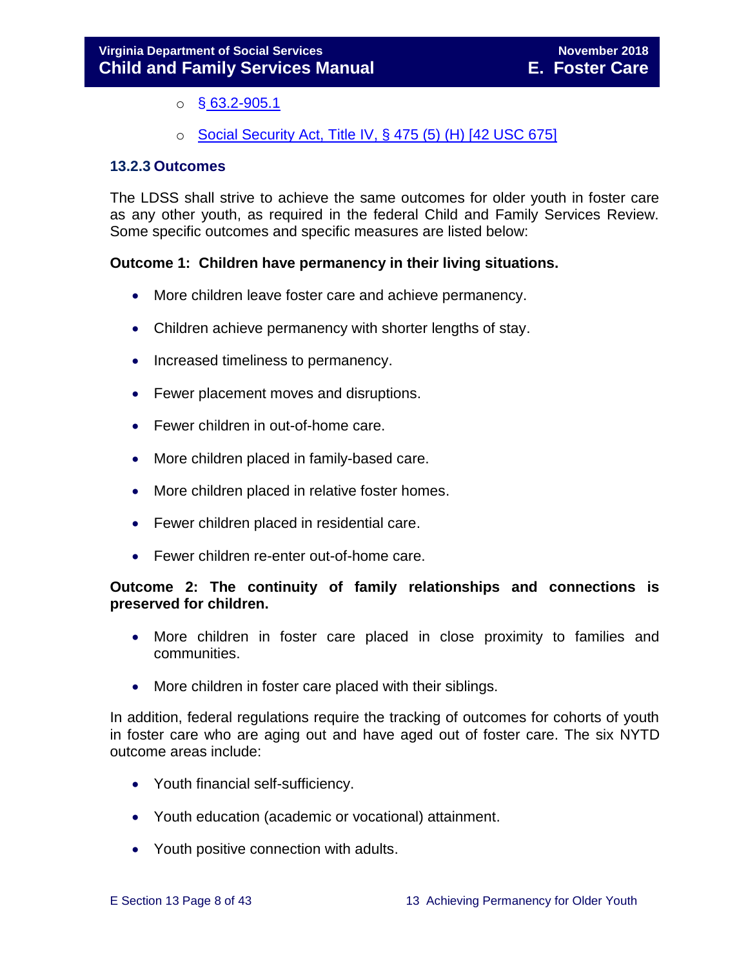- $\circ$  § [63.2-905.1](http://law.lis.virginia.gov/vacode/title63.2/chapter9/section63.2-905.1/)
- o [Social Security Act, Title IV, § 475 \(5\) \(H\) \[42 USC 675\]](http://www.ssa.gov/OP_Home/ssact/title04/0475.htm)

#### <span id="page-7-0"></span>**13.2.3 Outcomes**

The LDSS shall strive to achieve the same outcomes for older youth in foster care as any other youth, as required in the federal Child and Family Services Review. Some specific outcomes and specific measures are listed below:

#### **Outcome 1: Children have permanency in their living situations.**

- More children leave foster care and achieve permanency.
- Children achieve permanency with shorter lengths of stay.
- Increased timeliness to permanency.
- Fewer placement moves and disruptions.
- Fewer children in out-of-home care.
- More children placed in family-based care.
- More children placed in relative foster homes.
- Fewer children placed in residential care.
- Fewer children re-enter out-of-home care.

#### **Outcome 2: The continuity of family relationships and connections is preserved for children.**

- More children in foster care placed in close proximity to families and communities.
- More children in foster care placed with their siblings.

In addition, federal regulations require the tracking of outcomes for cohorts of youth in foster care who are aging out and have aged out of foster care. The six NYTD outcome areas include:

- Youth financial self-sufficiency.
- Youth education (academic or vocational) attainment.
- Youth positive connection with adults.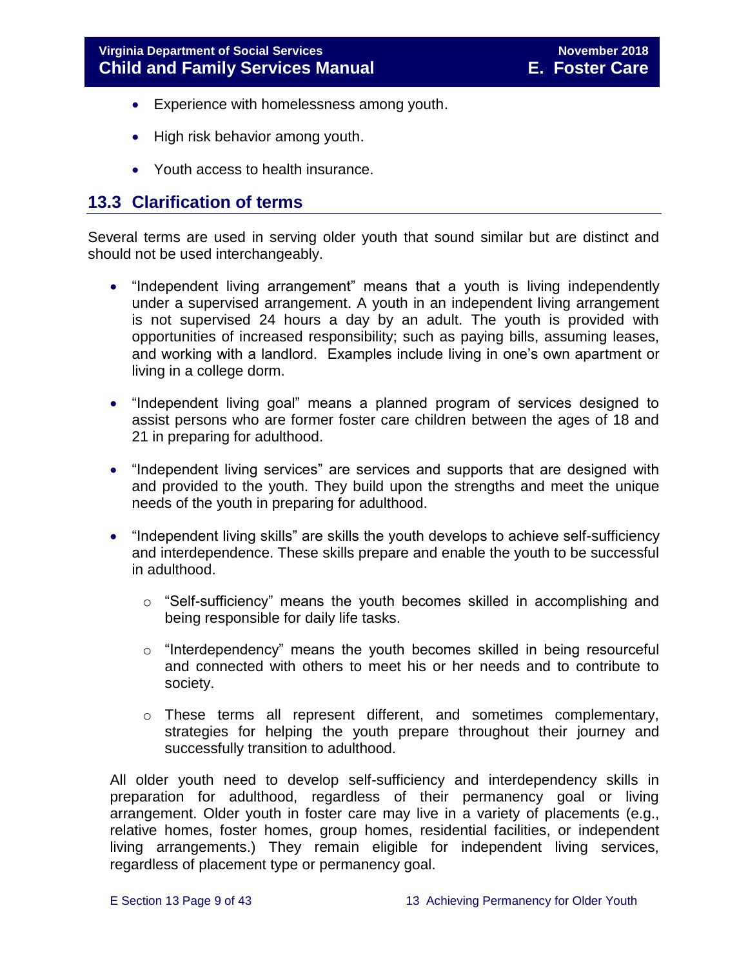- Experience with homelessness among youth.
- High risk behavior among youth.
- Youth access to health insurance.

### <span id="page-8-0"></span>**13.3 Clarification of terms**

Several terms are used in serving older youth that sound similar but are distinct and should not be used interchangeably.

- "Independent living arrangement" means that a youth is living independently under a supervised arrangement. A youth in an independent living arrangement is not supervised 24 hours a day by an adult. The youth is provided with opportunities of increased responsibility; such as paying bills, assuming leases, and working with a landlord. Examples include living in one's own apartment or living in a college dorm.
- "Independent living goal" means a planned program of services designed to assist persons who are former foster care children between the ages of 18 and 21 in preparing for adulthood.
- "Independent living services" are services and supports that are designed with and provided to the youth. They build upon the strengths and meet the unique needs of the youth in preparing for adulthood.
- "Independent living skills" are skills the youth develops to achieve self-sufficiency and interdependence. These skills prepare and enable the youth to be successful in adulthood.
	- $\circ$  "Self-sufficiency" means the youth becomes skilled in accomplishing and being responsible for daily life tasks.
	- $\circ$  "Interdependency" means the youth becomes skilled in being resourceful and connected with others to meet his or her needs and to contribute to society.
	- o These terms all represent different, and sometimes complementary, strategies for helping the youth prepare throughout their journey and successfully transition to adulthood.

All older youth need to develop self-sufficiency and interdependency skills in preparation for adulthood, regardless of their permanency goal or living arrangement. Older youth in foster care may live in a variety of placements (e.g., relative homes, foster homes, group homes, residential facilities, or independent living arrangements.) They remain eligible for independent living services, regardless of placement type or permanency goal.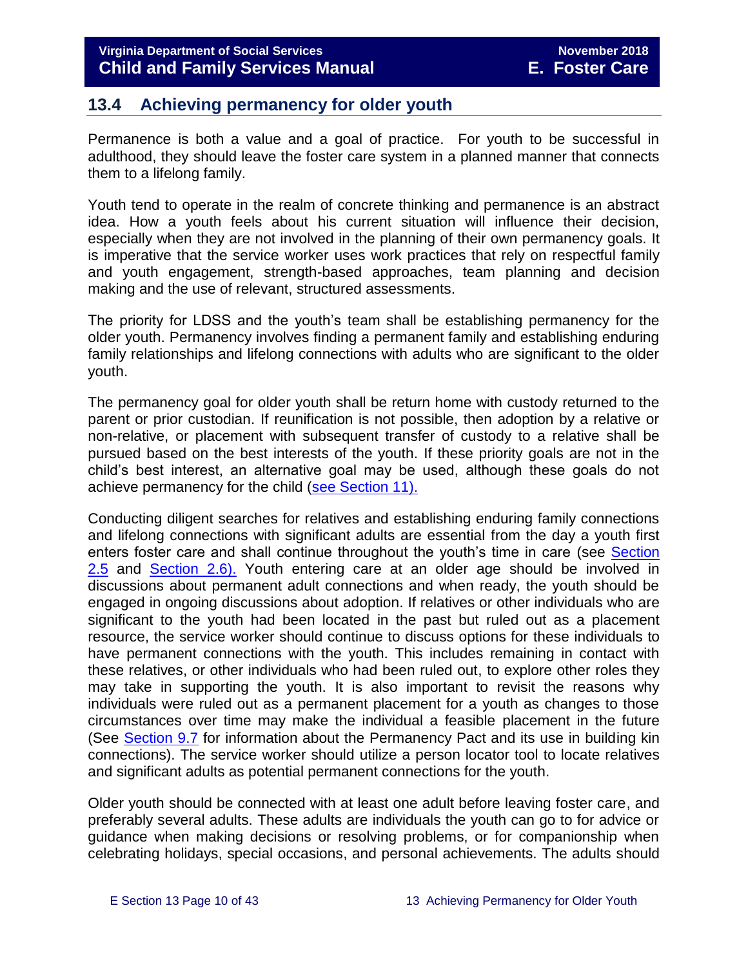# <span id="page-9-0"></span>**13.4 Achieving permanency for older youth**

Permanence is both a value and a goal of practice. For youth to be successful in adulthood, they should leave the foster care system in a planned manner that connects them to a lifelong family.

Youth tend to operate in the realm of concrete thinking and permanence is an abstract idea. How a youth feels about his current situation will influence their decision, especially when they are not involved in the planning of their own permanency goals. It is imperative that the service worker uses work practices that rely on respectful family and youth engagement, strength-based approaches, team planning and decision making and the use of relevant, structured assessments.

The priority for LDSS and the youth's team shall be establishing permanency for the older youth. Permanency involves finding a permanent family and establishing enduring family relationships and lifelong connections with adults who are significant to the older youth.

The permanency goal for older youth shall be return home with custody returned to the parent or prior custodian. If reunification is not possible, then adoption by a relative or non-relative, or placement with subsequent transfer of custody to a relative shall be pursued based on the best interests of the youth. If these priority goals are not in the child's best interest, an alternative goal may be used, although these goals do not achieve permanency for the child [\(see Section 11\).](http://www.dss.virginia.gov/files/division/dfs/fc/intro_page/guidance_manuals/fc/07_2015/Section_11_Alternative_Foster_Care_Goals.pdf)

Conducting diligent searches for relatives and establishing enduring family connections and lifelong connections with significant adults are essential from the day a youth first enters foster care and shall continue throughout the youth's time in care (see [Section](http://www.dss.virginia.gov/files/division/dfs/fc/intro_page/guidance_manuals/fc/07_2015/Section_02_Engaging_the_Child_Family_and_Significant_Adults.pdf) [2.5](http://www.dss.virginia.gov/files/division/dfs/fc/intro_page/guidance_manuals/fc/07_2015/Section_02_Engaging_the_Child_Family_and_Significant_Adults.pdf) and [Section](http://www.dss.virginia.gov/files/division/dfs/fc/intro_page/guidance_manuals/fc/07_2015/Section_02_Engaging_the_Child_Family_and_Significant_Adults.pdf) 2.6). Youth entering care at an older age should be involved in discussions about permanent adult connections and when ready, the youth should be engaged in ongoing discussions about adoption. If relatives or other individuals who are significant to the youth had been located in the past but ruled out as a placement resource, the service worker should continue to discuss options for these individuals to have permanent connections with the youth. This includes remaining in contact with these relatives, or other individuals who had been ruled out, to explore other roles they may take in supporting the youth. It is also important to revisit the reasons why individuals were ruled out as a permanent placement for a youth as changes to those circumstances over time may make the individual a feasible placement in the future (See [Section 9.7](http://www.dss.virginia.gov/files/division/dfs/fc/intro_page/guidance_manuals/fc/07_2015/Section_09_Achieving_Permanency_Goal_Adoption.pdf) for information about the Permanency Pact and its use in building kin connections). The service worker should utilize a person locator tool to locate relatives and significant adults as potential permanent connections for the youth.

Older youth should be connected with at least one adult before leaving foster care, and preferably several adults. These adults are individuals the youth can go to for advice or guidance when making decisions or resolving problems, or for companionship when celebrating holidays, special occasions, and personal achievements. The adults should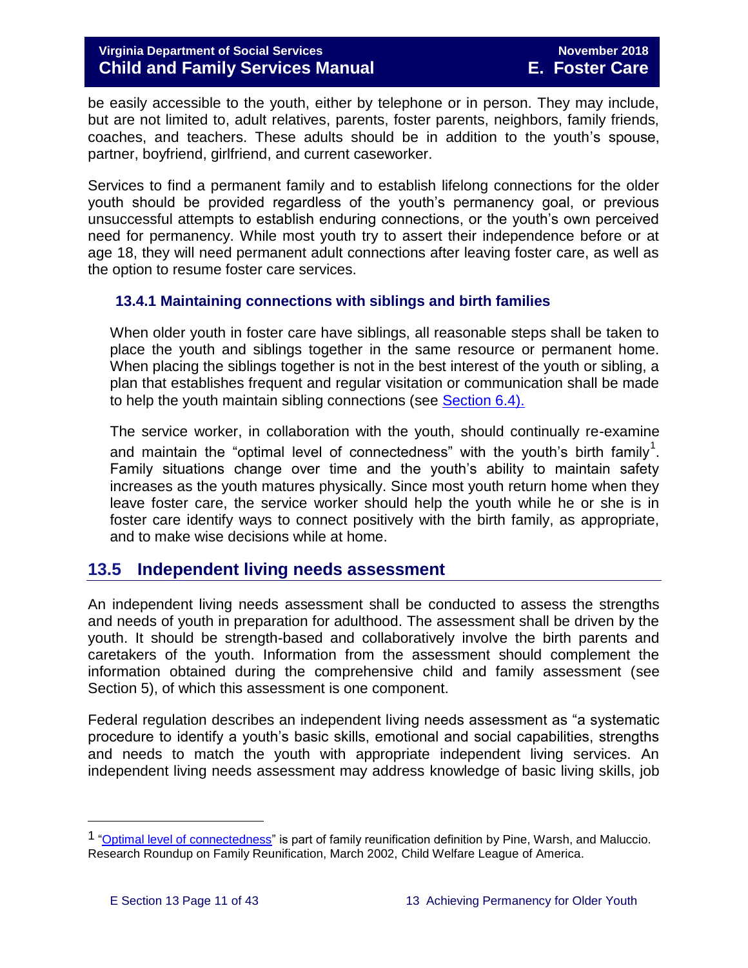be easily accessible to the youth, either by telephone or in person. They may include, but are not limited to, adult relatives, parents, foster parents, neighbors, family friends, coaches, and teachers. These adults should be in addition to the youth's spouse, partner, boyfriend, girlfriend, and current caseworker.

Services to find a permanent family and to establish lifelong connections for the older youth should be provided regardless of the youth's permanency goal, or previous unsuccessful attempts to establish enduring connections, or the youth's own perceived need for permanency. While most youth try to assert their independence before or at age 18, they will need permanent adult connections after leaving foster care, as well as the option to resume foster care services.

#### <span id="page-10-0"></span>**13.4.1 Maintaining connections with siblings and birth families**

When older youth in foster care have siblings, all reasonable steps shall be taken to place the youth and siblings together in the same resource or permanent home. When placing the siblings together is not in the best interest of the youth or sibling, a plan that establishes frequent and regular visitation or communication shall be made to help the youth maintain sibling connections (see [Section 6.4\).](http://www.dss.virginia.gov/files/division/dfs/fc/intro_page/guidance_manuals/fc/07_2015/Section_06_Placement_to_Achieve_Permanency.pdf)

The service worker, in collaboration with the youth, should continually re-examine and maintain the "optimal level of connectedness" with the youth's birth family<sup>1</sup>. Family situations change over time and the youth's ability to maintain safety increases as the youth matures physically. Since most youth return home when they leave foster care, the service worker should help the youth while he or she is in foster care identify ways to connect positively with the birth family, as appropriate, and to make wise decisions while at home.

# <span id="page-10-1"></span>**13.5 Independent living needs assessment**

An independent living needs assessment shall be conducted to assess the strengths and needs of youth in preparation for adulthood. The assessment shall be driven by the youth. It should be strength-based and collaboratively involve the birth parents and caretakers of the youth. Information from the assessment should complement the information obtained during the comprehensive child and family assessment (see Section 5), of which this assessment is one component.

Federal regulation describes an independent living needs assessment as "a systematic procedure to identify a youth's basic skills, emotional and social capabilities, strengths and needs to match the youth with appropriate independent living services. An independent living needs assessment may address knowledge of basic living skills, job

i<br>L

<sup>1</sup> ["Optimal level of connectedness"](http://www.cwla.org/programs/r2p/rrnews0203.pdf) is part of family reunification definition by Pine, Warsh, and Maluccio. Research Roundup on Family Reunification, March 2002, Child Welfare League of America.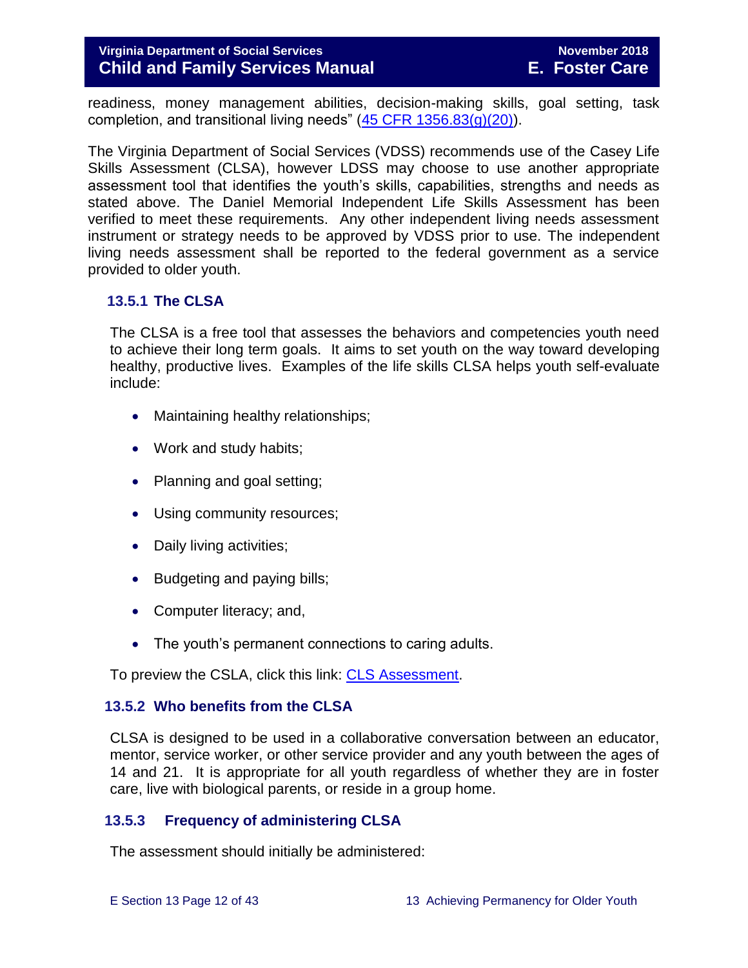readiness, money management abilities, decision-making skills, goal setting, task completion, and transitional living needs"  $(45$  CFR  $1356.83(g)(20)$ ).

The Virginia Department of Social Services (VDSS) recommends use of the Casey Life Skills Assessment (CLSA), however LDSS may choose to use another appropriate assessment tool that identifies the youth's skills, capabilities, strengths and needs as stated above. The Daniel Memorial Independent Life Skills Assessment has been verified to meet these requirements. Any other independent living needs assessment instrument or strategy needs to be approved by VDSS prior to use. The independent living needs assessment shall be reported to the federal government as a service provided to older youth.

#### <span id="page-11-0"></span>**13.5.1 The CLSA**

The CLSA is a free tool that assesses the behaviors and competencies youth need to achieve their long term goals. It aims to set youth on the way toward developing healthy, productive lives. Examples of the life skills CLSA helps youth self-evaluate include:

- Maintaining healthy relationships:
- Work and study habits;
- Planning and goal setting;
- Using community resources;
- Daily living activities;
- Budgeting and paying bills;
- Computer literacy; and,
- The youth's permanent connections to caring adults.

To preview the CSLA, click this link: [CLS Assessment.](http://lifeskills.casey.org/)

#### <span id="page-11-1"></span>**13.5.2 Who benefits from the CLSA**

CLSA is designed to be used in a collaborative conversation between an educator, mentor, service worker, or other service provider and any youth between the ages of 14 and 21. It is appropriate for all youth regardless of whether they are in foster care, live with biological parents, or reside in a group home.

#### <span id="page-11-2"></span>**13.5.3 Frequency of administering CLSA**

The assessment should initially be administered: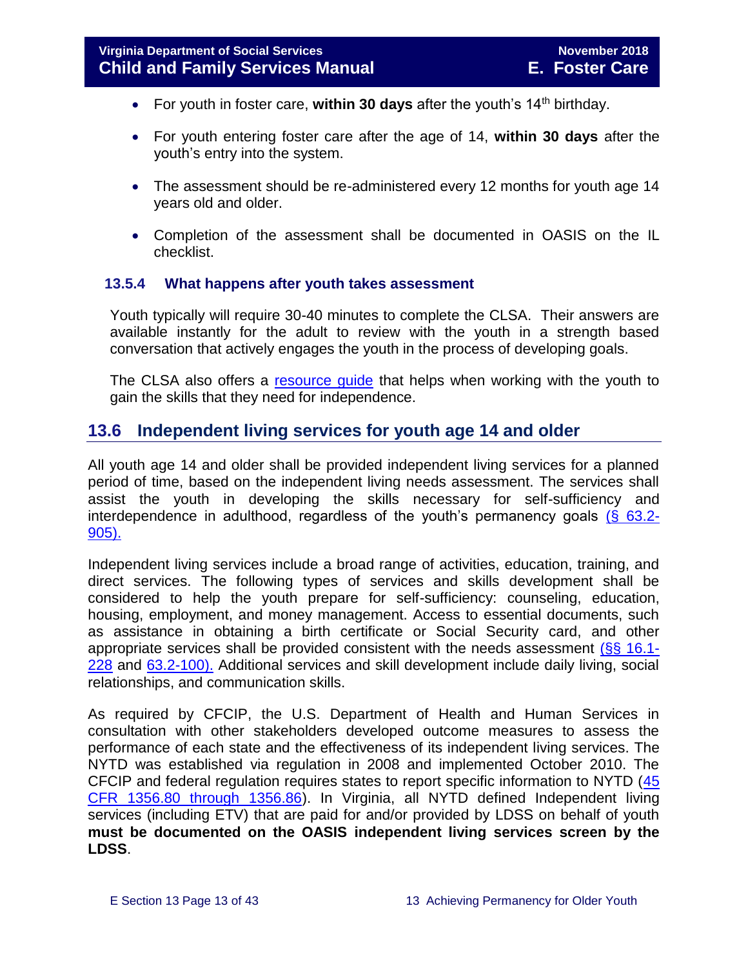- For youth in foster care, within 30 days after the youth's 14<sup>th</sup> birthday.
- For youth entering foster care after the age of 14, **within 30 days** after the youth's entry into the system.
- The assessment should be re-administered every 12 months for youth age 14 years old and older.
- Completion of the assessment shall be documented in OASIS on the IL checklist.

#### <span id="page-12-0"></span>**13.5.4 What happens after youth takes assessment**

Youth typically will require 30-40 minutes to complete the CLSA. Their answers are available instantly for the adult to review with the youth in a strength based conversation that actively engages the youth in the process of developing goals.

The CLSA also offers a resource quide that helps when working with the youth to gain the skills that they need for independence.

#### <span id="page-12-1"></span>**13.6 Independent living services for youth age 14 and older**

All youth age 14 and older shall be provided independent living services for a planned period of time, based on the independent living needs assessment. The services shall assist the youth in developing the skills necessary for self-sufficiency and interdependence in adulthood, regardless of the youth's permanency goals  $(§$  63.2-[905\).](http://law.lis.virginia.gov/vacode/title63.2/chapter9/section63.2-905/)

Independent living services include a broad range of activities, education, training, and direct services. The following types of services and skills development shall be considered to help the youth prepare for self-sufficiency: counseling, education, housing, employment, and money management. Access to essential documents, such as assistance in obtaining a birth certificate or Social Security card, and other appropriate services shall be provided consistent with the needs assessment [\(§§ 16.1-](http://law.lis.virginia.gov/vacode/16.1-228/) [228](http://law.lis.virginia.gov/vacode/16.1-228/) and [63.2-100\).](http://law.lis.virginia.gov/vacode/63.2-100/) Additional services and skill development include daily living, social relationships, and communication skills.

As required by CFCIP, the U.S. Department of Health and Human Services in consultation with other stakeholders developed outcome measures to assess the performance of each state and the effectiveness of its independent living services. The NYTD was established via regulation in 2008 and implemented October 2010. The CFCIP and federal regulation requires states to report specific information to NYTD [\(45](https://www.law.cornell.edu/cfr/text/45/1356.80)  [CFR 1356.80 through 1356.86\)](https://www.law.cornell.edu/cfr/text/45/1356.80). In Virginia, all NYTD defined Independent living services (including ETV) that are paid for and/or provided by LDSS on behalf of youth **must be documented on the OASIS independent living services screen by the LDSS**.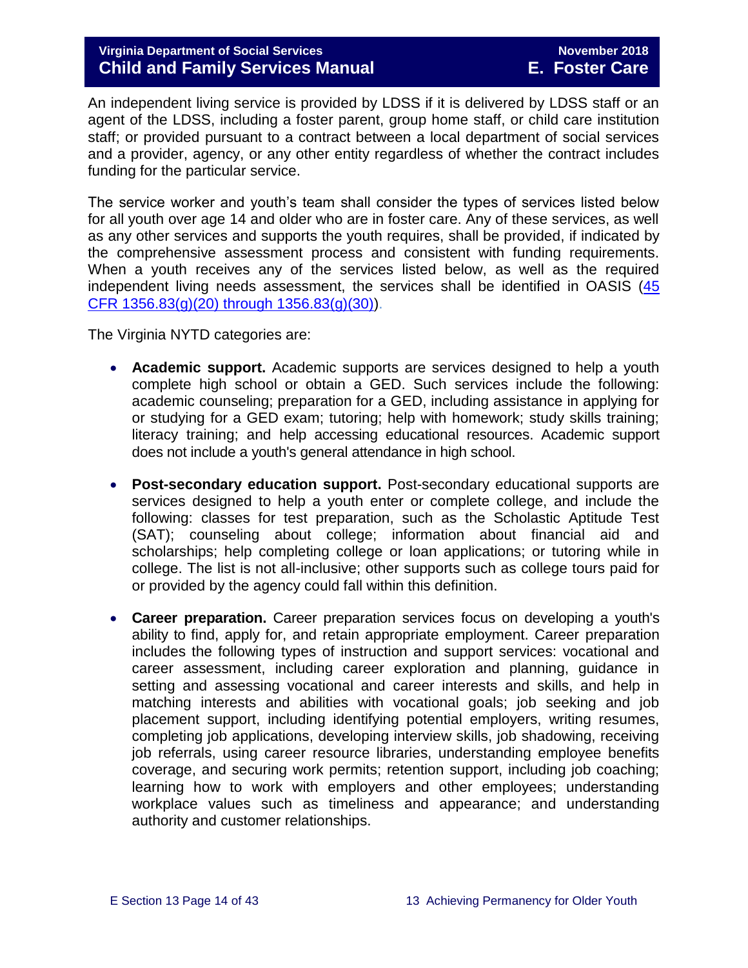An independent living service is provided by LDSS if it is delivered by LDSS staff or an agent of the LDSS, including a foster parent, group home staff, or child care institution staff; or provided pursuant to a contract between a local department of social services and a provider, agency, or any other entity regardless of whether the contract includes funding for the particular service.

The service worker and youth's team shall consider the types of services listed below for all youth over age 14 and older who are in foster care. Any of these services, as well as any other services and supports the youth requires, shall be provided, if indicated by the comprehensive assessment process and consistent with funding requirements. When a youth receives any of the services listed below, as well as the required independent living needs assessment, the services shall be identified in OASIS [\(45](https://www.law.cornell.edu/cfr/text/45/1356.83)  [CFR 1356.83\(g\)\(20\) through 1356.83\(g\)\(30\)\)](https://www.law.cornell.edu/cfr/text/45/1356.83).

The Virginia NYTD categories are:

- **Academic support.** Academic supports are services designed to help a youth complete high school or obtain a GED. Such services include the following: academic counseling; preparation for a GED, including assistance in applying for or studying for a GED exam; tutoring; help with homework; study skills training; literacy training; and help accessing educational resources. Academic support does not include a youth's general attendance in high school.
- **Post-secondary education support.** Post-secondary educational supports are services designed to help a youth enter or complete college, and include the following: classes for test preparation, such as the Scholastic Aptitude Test (SAT); counseling about college; information about financial aid and scholarships; help completing college or loan applications; or tutoring while in college. The list is not all-inclusive; other supports such as college tours paid for or provided by the agency could fall within this definition.
- **Career preparation.** Career preparation services focus on developing a youth's ability to find, apply for, and retain appropriate employment. Career preparation includes the following types of instruction and support services: vocational and career assessment, including career exploration and planning, guidance in setting and assessing vocational and career interests and skills, and help in matching interests and abilities with vocational goals; job seeking and job placement support, including identifying potential employers, writing resumes, completing job applications, developing interview skills, job shadowing, receiving job referrals, using career resource libraries, understanding employee benefits coverage, and securing work permits; retention support, including job coaching; learning how to work with employers and other employees; understanding workplace values such as timeliness and appearance; and understanding authority and customer relationships.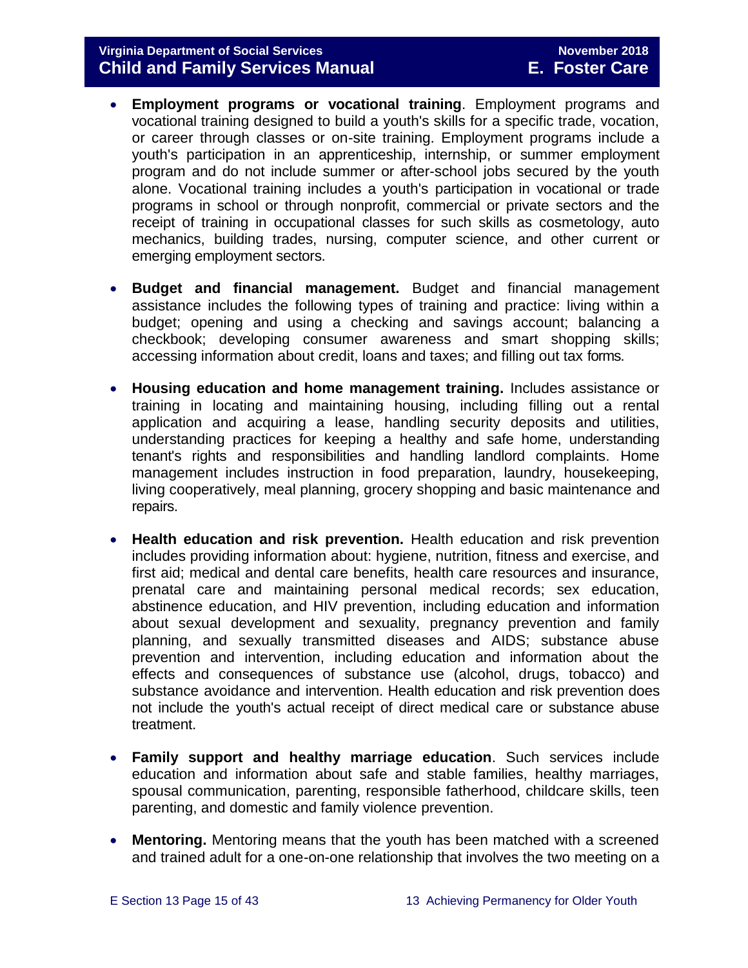- **Employment programs or vocational training**. Employment programs and vocational training designed to build a youth's skills for a specific trade, vocation, or career through classes or on-site training. Employment programs include a youth's participation in an apprenticeship, internship, or summer employment program and do not include summer or after-school jobs secured by the youth alone. Vocational training includes a youth's participation in vocational or trade programs in school or through nonprofit, commercial or private sectors and the receipt of training in occupational classes for such skills as cosmetology, auto mechanics, building trades, nursing, computer science, and other current or emerging employment sectors.
- **Budget and financial management.** Budget and financial management assistance includes the following types of training and practice: living within a budget; opening and using a checking and savings account; balancing a checkbook; developing consumer awareness and smart shopping skills; accessing information about credit, loans and taxes; and filling out tax forms.
- **Housing education and home management training.** Includes assistance or training in locating and maintaining housing, including filling out a rental application and acquiring a lease, handling security deposits and utilities, understanding practices for keeping a healthy and safe home, understanding tenant's rights and responsibilities and handling landlord complaints. Home management includes instruction in food preparation, laundry, housekeeping, living cooperatively, meal planning, grocery shopping and basic maintenance and repairs.
- **Health education and risk prevention.** Health education and risk prevention includes providing information about: hygiene, nutrition, fitness and exercise, and first aid; medical and dental care benefits, health care resources and insurance, prenatal care and maintaining personal medical records; sex education, abstinence education, and HIV prevention, including education and information about sexual development and sexuality, pregnancy prevention and family planning, and sexually transmitted diseases and AIDS; substance abuse prevention and intervention, including education and information about the effects and consequences of substance use (alcohol, drugs, tobacco) and substance avoidance and intervention. Health education and risk prevention does not include the youth's actual receipt of direct medical care or substance abuse treatment.
- **Family support and healthy marriage education**. Such services include education and information about safe and stable families, healthy marriages, spousal communication, parenting, responsible fatherhood, childcare skills, teen parenting, and domestic and family violence prevention.
- **Mentoring.** Mentoring means that the youth has been matched with a screened and trained adult for a one-on-one relationship that involves the two meeting on a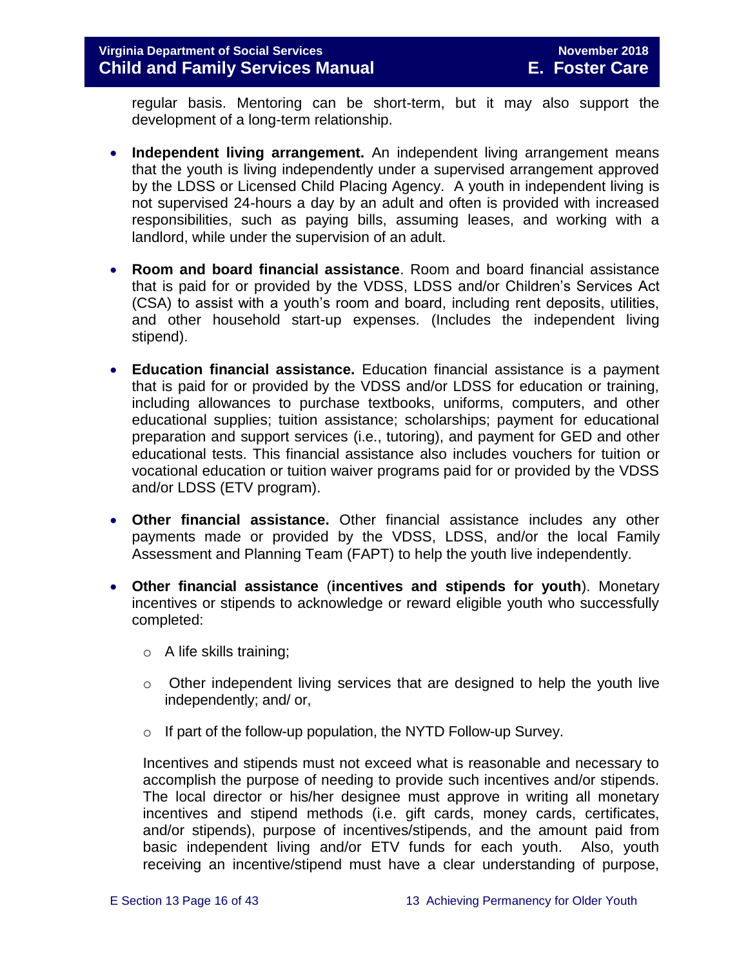regular basis. Mentoring can be short-term, but it may also support the development of a long-term relationship.

- **Independent living arrangement.** An independent living arrangement means that the youth is living independently under a supervised arrangement approved by the LDSS or Licensed Child Placing Agency. A youth in independent living is not supervised 24-hours a day by an adult and often is provided with increased responsibilities, such as paying bills, assuming leases, and working with a landlord, while under the supervision of an adult.
- **Room and board financial assistance**. Room and board financial assistance that is paid for or provided by the VDSS, LDSS and/or Children's Services Act (CSA) to assist with a youth's room and board, including rent deposits, utilities, and other household start-up expenses. (Includes the independent living stipend).
- **Education financial assistance.** Education financial assistance is a payment that is paid for or provided by the VDSS and/or LDSS for education or training, including allowances to purchase textbooks, uniforms, computers, and other educational supplies; tuition assistance; scholarships; payment for educational preparation and support services (i.e., tutoring), and payment for GED and other educational tests. This financial assistance also includes vouchers for tuition or vocational education or tuition waiver programs paid for or provided by the VDSS and/or LDSS (ETV program).
- **Other financial assistance.** Other financial assistance includes any other payments made or provided by the VDSS, LDSS, and/or the local Family Assessment and Planning Team (FAPT) to help the youth live independently.
- **Other financial assistance** (**incentives and stipends for youth**). Monetary incentives or stipends to acknowledge or reward eligible youth who successfully completed:
	- o A life skills training;
	- $\circ$  Other independent living services that are designed to help the youth live independently; and/ or,
	- o If part of the follow-up population, the NYTD Follow-up Survey.

Incentives and stipends must not exceed what is reasonable and necessary to accomplish the purpose of needing to provide such incentives and/or stipends. The local director or his/her designee must approve in writing all monetary incentives and stipend methods (i.e. gift cards, money cards, certificates, and/or stipends), purpose of incentives/stipends, and the amount paid from basic independent living and/or ETV funds for each youth. Also, youth receiving an incentive/stipend must have a clear understanding of purpose,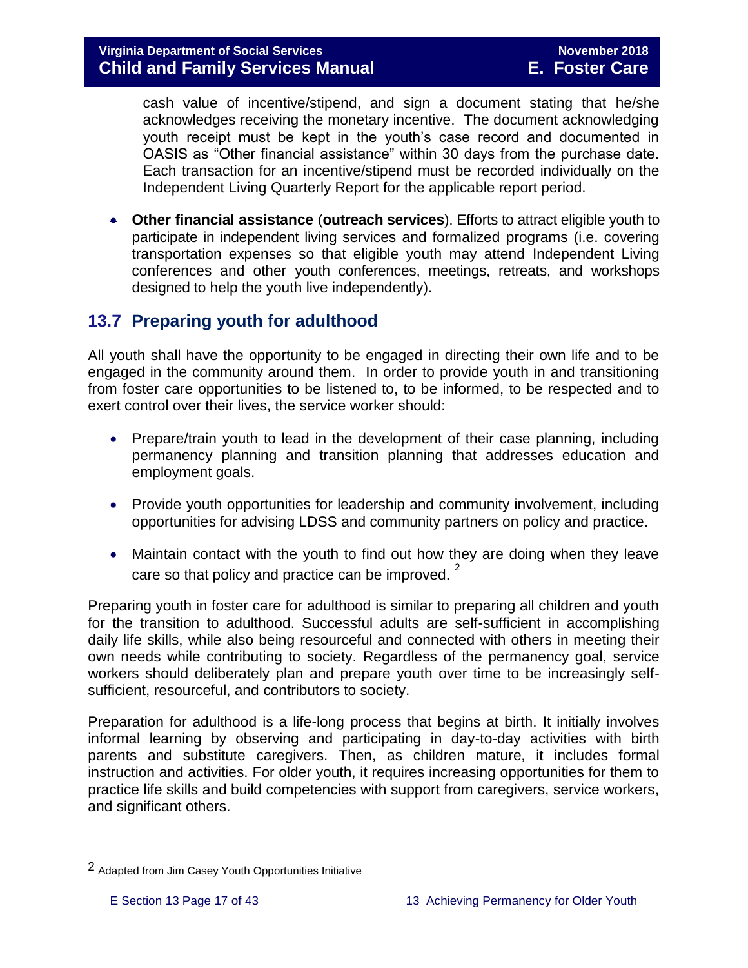cash value of incentive/stipend, and sign a document stating that he/she acknowledges receiving the monetary incentive. The document acknowledging youth receipt must be kept in the youth's case record and documented in OASIS as "Other financial assistance" within 30 days from the purchase date. Each transaction for an incentive/stipend must be recorded individually on the Independent Living Quarterly Report for the applicable report period.

 **Other financial assistance** (**outreach services**). Efforts to attract eligible youth to participate in independent living services and formalized programs (i.e. covering transportation expenses so that eligible youth may attend Independent Living conferences and other youth conferences, meetings, retreats, and workshops designed to help the youth live independently).

# <span id="page-16-0"></span>**13.7 Preparing youth for adulthood**

All youth shall have the opportunity to be engaged in directing their own life and to be engaged in the community around them. In order to provide youth in and transitioning from foster care opportunities to be listened to, to be informed, to be respected and to exert control over their lives, the service worker should:

- Prepare/train youth to lead in the development of their case planning, including permanency planning and transition planning that addresses education and employment goals.
- Provide youth opportunities for leadership and community involvement, including opportunities for advising LDSS and community partners on policy and practice.
- Maintain contact with the youth to find out how they are doing when they leave care so that policy and practice can be improved.  $2^2$

Preparing youth in foster care for adulthood is similar to preparing all children and youth for the transition to adulthood. Successful adults are self-sufficient in accomplishing daily life skills, while also being resourceful and connected with others in meeting their own needs while contributing to society. Regardless of the permanency goal, service workers should deliberately plan and prepare youth over time to be increasingly selfsufficient, resourceful, and contributors to society.

Preparation for adulthood is a life-long process that begins at birth. It initially involves informal learning by observing and participating in day-to-day activities with birth parents and substitute caregivers. Then, as children mature, it includes formal instruction and activities. For older youth, it requires increasing opportunities for them to practice life skills and build competencies with support from caregivers, service workers, and significant others.

i<br>L

<sup>2</sup> Adapted from Jim Casey Youth Opportunities Initiative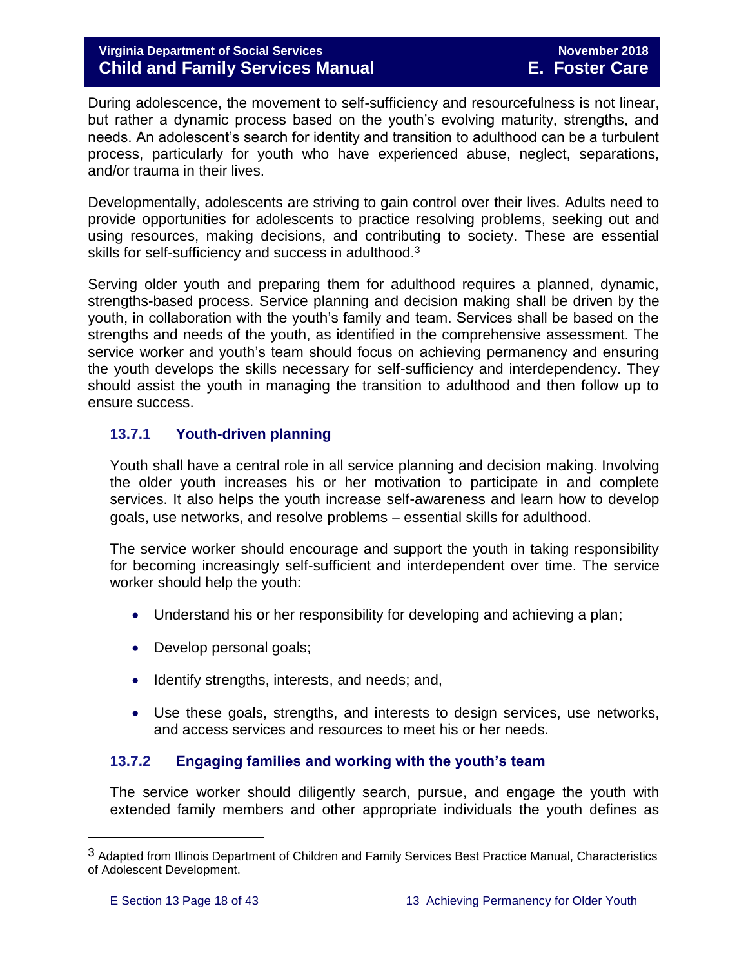During adolescence, the movement to self-sufficiency and resourcefulness is not linear, but rather a dynamic process based on the youth's evolving maturity, strengths, and needs. An adolescent's search for identity and transition to adulthood can be a turbulent process, particularly for youth who have experienced abuse, neglect, separations, and/or trauma in their lives.

Developmentally, adolescents are striving to gain control over their lives. Adults need to provide opportunities for adolescents to practice resolving problems, seeking out and using resources, making decisions, and contributing to society. These are essential skills for self-sufficiency and success in adulthood.<sup>3</sup>

Serving older youth and preparing them for adulthood requires a planned, dynamic, strengths-based process. Service planning and decision making shall be driven by the youth, in collaboration with the youth's family and team. Services shall be based on the strengths and needs of the youth, as identified in the comprehensive assessment. The service worker and youth's team should focus on achieving permanency and ensuring the youth develops the skills necessary for self-sufficiency and interdependency. They should assist the youth in managing the transition to adulthood and then follow up to ensure success.

#### <span id="page-17-0"></span>**13.7.1 Youth-driven planning**

Youth shall have a central role in all service planning and decision making. Involving the older youth increases his or her motivation to participate in and complete services. It also helps the youth increase self-awareness and learn how to develop goals, use networks, and resolve problems – essential skills for adulthood.

The service worker should encourage and support the youth in taking responsibility for becoming increasingly self-sufficient and interdependent over time. The service worker should help the youth:

- Understand his or her responsibility for developing and achieving a plan;
- Develop personal goals;
- Identify strengths, interests, and needs; and,
- Use these goals, strengths, and interests to design services, use networks, and access services and resources to meet his or her needs.

#### <span id="page-17-1"></span>**13.7.2 Engaging families and working with the youth's team**

The service worker should diligently search, pursue, and engage the youth with extended family members and other appropriate individuals the youth defines as

i<br>L

<sup>3</sup> Adapted from Illinois Department of Children and Family Services Best Practice Manual, Characteristics of Adolescent Development.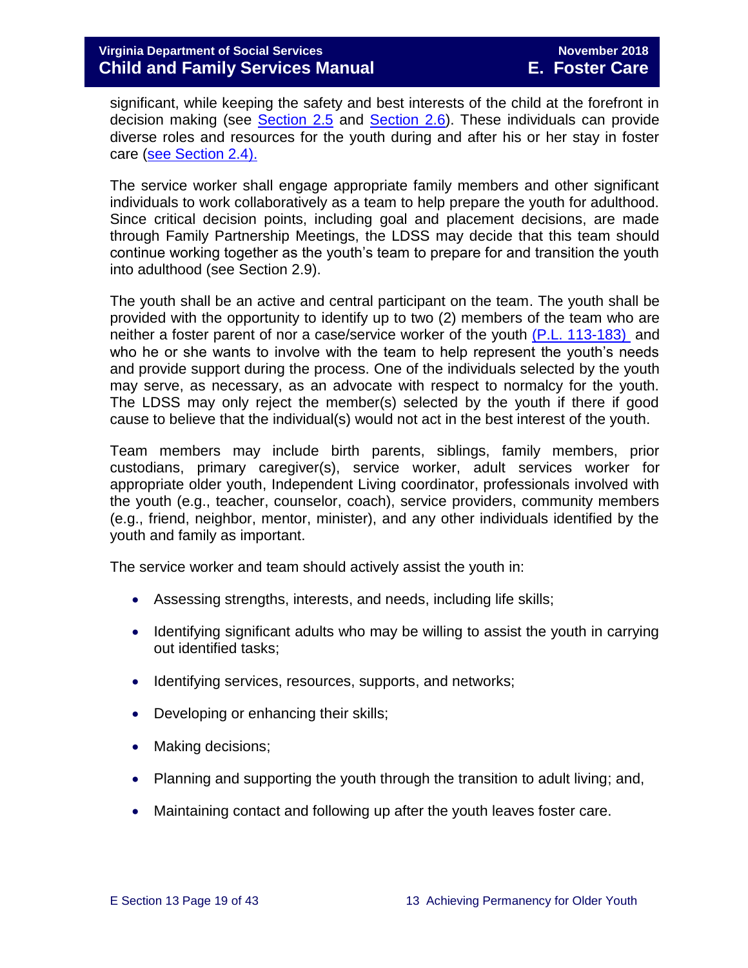significant, while keeping the safety and best interests of the child at the forefront in decision making (see [Section](http://www.dss.virginia.gov/files/division/dfs/fc/intro_page/guidance_manuals/fc/07_2015/Section_02_Engaging_the_Child_Family_and_Significant_Adults.pdf) 2.5 and [Section](http://www.dss.virginia.gov/files/division/dfs/fc/intro_page/guidance_manuals/fc/07_2015/Section_02_Engaging_the_Child_Family_and_Significant_Adults.pdf) 2.6). These individuals can provide diverse roles and resources for the youth during and after his or her stay in foster care [\(see Section](http://www.dss.virginia.gov/files/division/dfs/fc/intro_page/guidance_manuals/fc/07_2015/Section_02_Engaging_the_Child_Family_and_Significant_Adults.pdf) 2.4).

The service worker shall engage appropriate family members and other significant individuals to work collaboratively as a team to help prepare the youth for adulthood. Since critical decision points, including goal and placement decisions, are made through Family Partnership Meetings, the LDSS may decide that this team should continue working together as the youth's team to prepare for and transition the youth into adulthood (see Section 2.9).

The youth shall be an active and central participant on the team. The youth shall be provided with the opportunity to identify up to two (2) members of the team who are neither a foster parent of nor a case/service worker of the youth [\(P.L. 113-183\)](https://www.congress.gov/113/plaws/publ183/PLAW-113publ183.pdf) and who he or she wants to involve with the team to help represent the youth's needs and provide support during the process. One of the individuals selected by the youth may serve, as necessary, as an advocate with respect to normalcy for the youth. The LDSS may only reject the member(s) selected by the youth if there if good cause to believe that the individual(s) would not act in the best interest of the youth.

Team members may include birth parents, siblings, family members, prior custodians, primary caregiver(s), service worker, adult services worker for appropriate older youth, Independent Living coordinator, professionals involved with the youth (e.g., teacher, counselor, coach), service providers, community members (e.g., friend, neighbor, mentor, minister), and any other individuals identified by the youth and family as important.

The service worker and team should actively assist the youth in:

- Assessing strengths, interests, and needs, including life skills;
- Identifying significant adults who may be willing to assist the youth in carrying out identified tasks;
- Identifying services, resources, supports, and networks;
- Developing or enhancing their skills;
- Making decisions;
- Planning and supporting the youth through the transition to adult living; and,
- Maintaining contact and following up after the youth leaves foster care.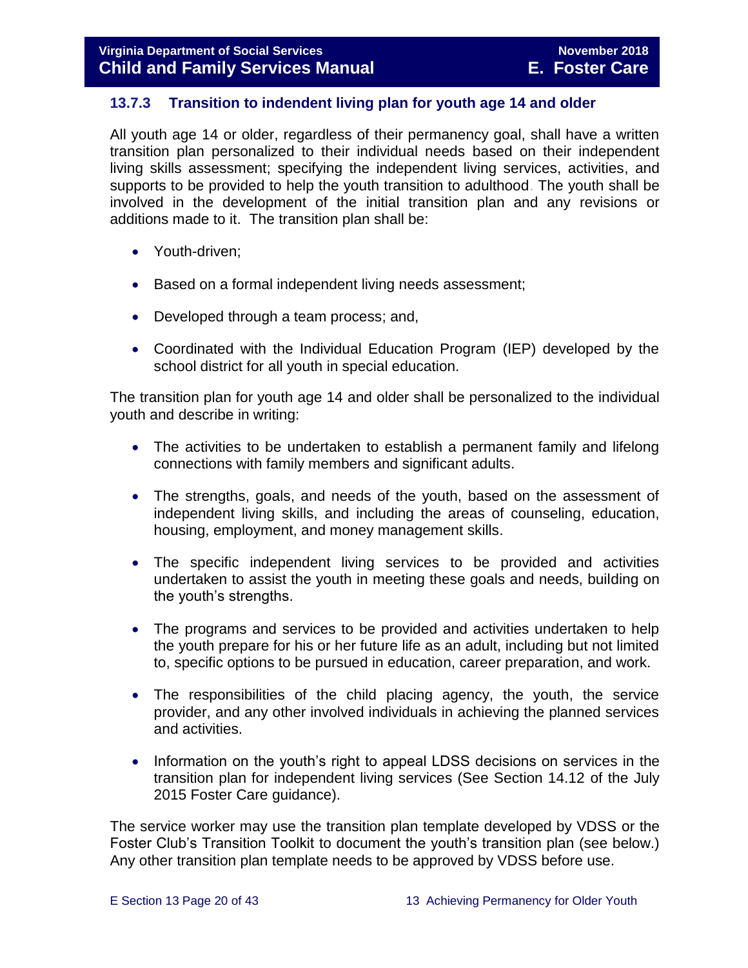#### <span id="page-19-0"></span>**13.7.3 Transition to indendent living plan for youth age 14 and older**

All youth age 14 or older, regardless of their permanency goal, shall have a written transition plan personalized to their individual needs based on their independent living skills assessment; specifying the independent living services, activities, and supports to be provided to help the youth transition to adulthood. The youth shall be involved in the development of the initial transition plan and any revisions or additions made to it. The transition plan shall be:

- Youth-driven;
- Based on a formal independent living needs assessment;
- Developed through a team process; and,
- Coordinated with the Individual Education Program (IEP) developed by the school district for all youth in special education.

The transition plan for youth age 14 and older shall be personalized to the individual youth and describe in writing:

- The activities to be undertaken to establish a permanent family and lifelong connections with family members and significant adults.
- The strengths, goals, and needs of the youth, based on the assessment of independent living skills, and including the areas of counseling, education, housing, employment, and money management skills.
- The specific independent living services to be provided and activities undertaken to assist the youth in meeting these goals and needs, building on the youth's strengths.
- The programs and services to be provided and activities undertaken to help the youth prepare for his or her future life as an adult, including but not limited to, specific options to be pursued in education, career preparation, and work.
- The responsibilities of the child placing agency, the youth, the service provider, and any other involved individuals in achieving the planned services and activities.
- Information on the youth's right to appeal LDSS decisions on services in the transition plan for independent living services (See Section 14.12 of the July 2015 Foster Care guidance).

The service worker may use the transition plan template developed by VDSS or the Foster Club's Transition Toolkit to document the youth's transition plan (see below.) Any other transition plan template needs to be approved by VDSS before use.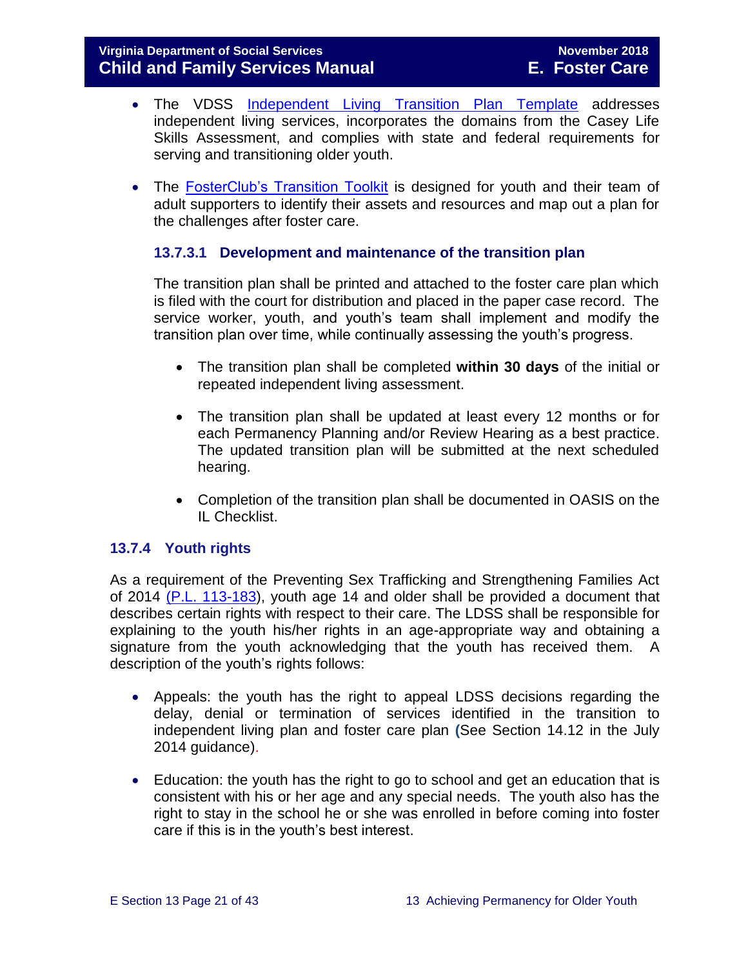- The VDSS Independent Living [Transition Plan Template](http://www.dss.virginia.gov/files/division/dfs/fc/intro_page/forms/032-04-0076-02-eng.pdf) addresses independent living services, incorporates the domains from the Casey Life Skills Assessment, and complies with state and federal requirements for serving and transitioning older youth.
- The [FosterClub's Transition Toolkit](https://www.fosterclub.com/_transition/article/transition-toolkit) is designed for youth and their team of adult supporters to identify their assets and resources and map out a plan for the challenges after foster care.

#### **13.7.3.1 Development and maintenance of the transition plan**

The transition plan shall be printed and attached to the foster care plan which is filed with the court for distribution and placed in the paper case record. The service worker, youth, and youth's team shall implement and modify the transition plan over time, while continually assessing the youth's progress.

- The transition plan shall be completed **within 30 days** of the initial or repeated independent living assessment.
- The transition plan shall be updated at least every 12 months or for each Permanency Planning and/or Review Hearing as a best practice. The updated transition plan will be submitted at the next scheduled hearing.
- Completion of the transition plan shall be documented in OASIS on the IL Checklist.

#### <span id="page-20-0"></span>**13.7.4 Youth rights**

As a requirement of the Preventing Sex Trafficking and Strengthening Families Act of 2014 [\(P.L. 113-183\)](https://www.congress.gov/113/plaws/publ183/PLAW-113publ183.pdf), youth age 14 and older shall be provided a document that describes certain rights with respect to their care. The LDSS shall be responsible for explaining to the youth his/her rights in an age-appropriate way and obtaining a signature from the youth acknowledging that the youth has received them. A description of the youth's rights follows:

- Appeals: the youth has the right to appeal LDSS decisions regarding the delay, denial or termination of services identified in the transition to independent living plan and foster care plan **(**See Section 14.12 in the July 2014 guidance).
- Education: the youth has the right to go to school and get an education that is consistent with his or her age and any special needs. The youth also has the right to stay in the school he or she was enrolled in before coming into foster care if this is in the youth's best interest.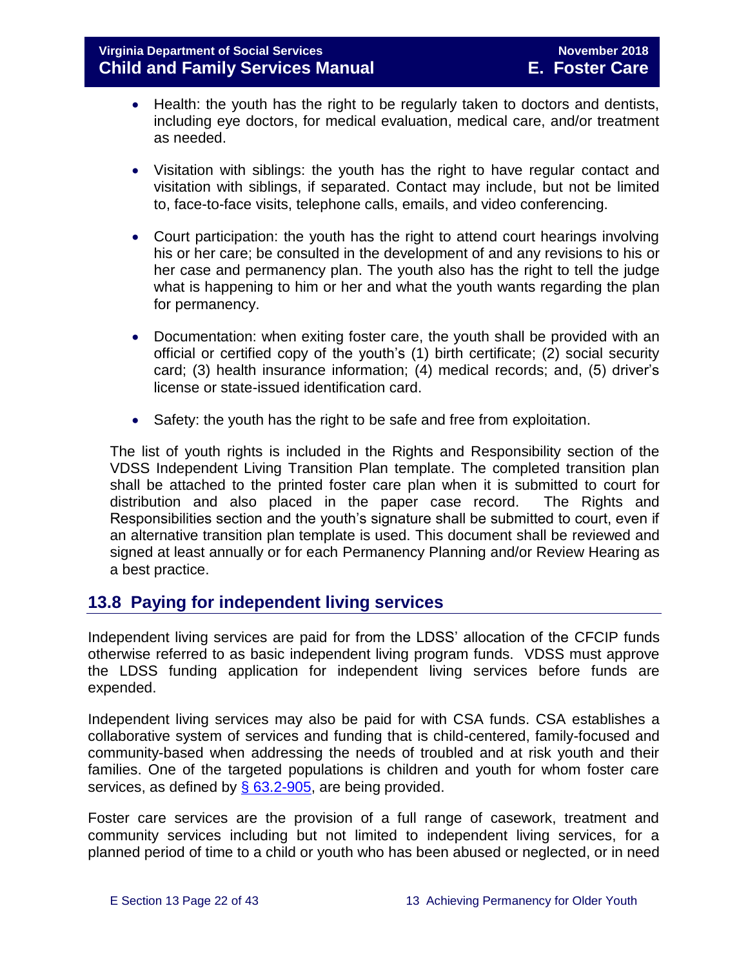- Health: the youth has the right to be regularly taken to doctors and dentists, including eye doctors, for medical evaluation, medical care, and/or treatment as needed.
- Visitation with siblings: the youth has the right to have regular contact and visitation with siblings, if separated. Contact may include, but not be limited to, face-to-face visits, telephone calls, emails, and video conferencing.
- Court participation: the youth has the right to attend court hearings involving his or her care; be consulted in the development of and any revisions to his or her case and permanency plan. The youth also has the right to tell the judge what is happening to him or her and what the youth wants regarding the plan for permanency.
- Documentation: when exiting foster care, the youth shall be provided with an official or certified copy of the youth's (1) birth certificate; (2) social security card; (3) health insurance information; (4) medical records; and, (5) driver's license or state-issued identification card.
- Safety: the youth has the right to be safe and free from exploitation.

The list of youth rights is included in the Rights and Responsibility section of the VDSS Independent Living Transition Plan template. The completed transition plan shall be attached to the printed foster care plan when it is submitted to court for distribution and also placed in the paper case record. The Rights and Responsibilities section and the youth's signature shall be submitted to court, even if an alternative transition plan template is used. This document shall be reviewed and signed at least annually or for each Permanency Planning and/or Review Hearing as a best practice.

# <span id="page-21-0"></span>**13.8 Paying for independent living services**

Independent living services are paid for from the LDSS' allocation of the CFCIP funds otherwise referred to as basic independent living program funds. VDSS must approve the LDSS funding application for independent living services before funds are expended.

Independent living services may also be paid for with CSA funds. CSA establishes a collaborative system of services and funding that is child-centered, family-focused and community-based when addressing the needs of troubled and at risk youth and their families. One of the targeted populations is children and youth for whom foster care services, as defined by  $\S$  63.2-905, are being provided.

Foster care services are the provision of a full range of casework, treatment and community services including but not limited to independent living services, for a planned period of time to a child or youth who has been abused or neglected, or in need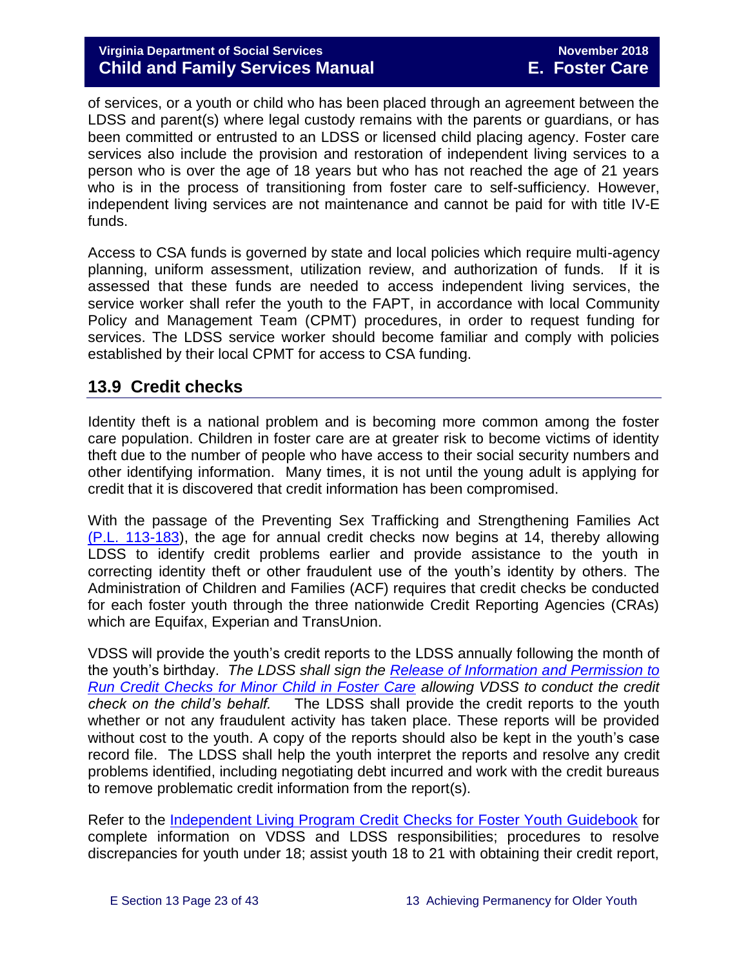of services, or a youth or child who has been placed through an agreement between the LDSS and parent(s) where legal custody remains with the parents or guardians, or has been committed or entrusted to an LDSS or licensed child placing agency. Foster care services also include the provision and restoration of independent living services to a person who is over the age of 18 years but who has not reached the age of 21 years who is in the process of transitioning from foster care to self-sufficiency. However, independent living services are not maintenance and cannot be paid for with title IV-E funds.

Access to CSA funds is governed by state and local policies which require multi-agency planning, uniform assessment, utilization review, and authorization of funds. If it is assessed that these funds are needed to access independent living services, the service worker shall refer the youth to the FAPT, in accordance with local Community Policy and Management Team (CPMT) procedures, in order to request funding for services. The LDSS service worker should become familiar and comply with policies established by their local CPMT for access to CSA funding.

# <span id="page-22-0"></span>**13.9 Credit checks**

Identity theft is a national problem and is becoming more common among the foster care population. Children in foster care are at greater risk to become victims of identity theft due to the number of people who have access to their social security numbers and other identifying information. Many times, it is not until the young adult is applying for credit that it is discovered that credit information has been compromised.

With the passage of the Preventing Sex Trafficking and Strengthening Families Act [\(P.L. 113-183\)](https://www.congress.gov/113/plaws/publ183/PLAW-113publ183.pdf), the age for annual credit checks now begins at 14, thereby allowing LDSS to identify credit problems earlier and provide assistance to the youth in correcting identity theft or other fraudulent use of the youth's identity by others. The Administration of Children and Families (ACF) requires that credit checks be conducted for each foster youth through the three nationwide Credit Reporting Agencies (CRAs) which are Equifax, Experian and TransUnion.

VDSS will provide the youth's credit reports to the LDSS annually following the month of the youth's birthday. *The LDSS shall sign the [Release of Information and Permission to](http://spark.dss.virginia.gov/divisions/dfs/fc/ilp.cgi)  [Run Credit Checks for Minor Child in Foster Care](http://spark.dss.virginia.gov/divisions/dfs/fc/ilp.cgi) allowing VDSS to conduct the credit check on the child's behalf.* The LDSS shall provide the credit reports to the youth whether or not any fraudulent activity has taken place. These reports will be provided without cost to the youth. A copy of the reports should also be kept in the youth's case record file. The LDSS shall help the youth interpret the reports and resolve any credit problems identified, including negotiating debt incurred and work with the credit bureaus to remove problematic credit information from the report(s).

Refer to the [Independent Living Program Credit Checks for Foster Youth Guidebook](http://spark.dss.virginia.gov/divisions/dfs/fc/files/ilp/services/tools_templates/Credit_Checks_Guidebook_.pdf) for complete information on VDSS and LDSS responsibilities; procedures to resolve discrepancies for youth under 18; assist youth 18 to 21 with obtaining their credit report,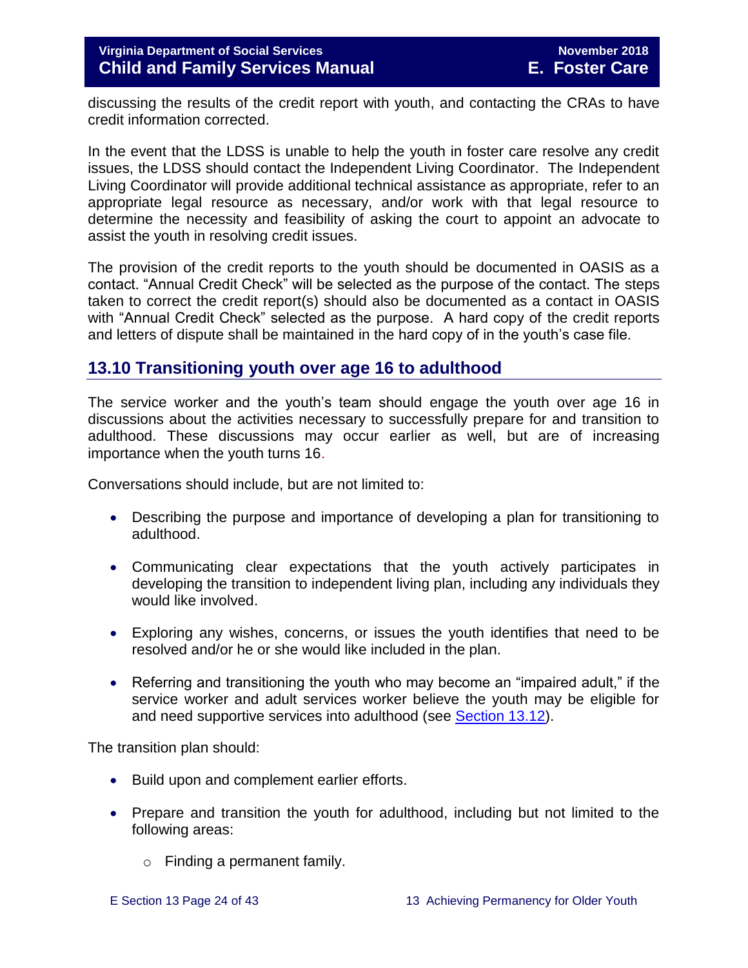discussing the results of the credit report with youth, and contacting the CRAs to have credit information corrected.

In the event that the LDSS is unable to help the youth in foster care resolve any credit issues, the LDSS should contact the Independent Living Coordinator. The Independent Living Coordinator will provide additional technical assistance as appropriate, refer to an appropriate legal resource as necessary, and/or work with that legal resource to determine the necessity and feasibility of asking the court to appoint an advocate to assist the youth in resolving credit issues.

The provision of the credit reports to the youth should be documented in OASIS as a contact. "Annual Credit Check" will be selected as the purpose of the contact. The steps taken to correct the credit report(s) should also be documented as a contact in OASIS with "Annual Credit Check" selected as the purpose. A hard copy of the credit reports and letters of dispute shall be maintained in the hard copy of in the youth's case file.

# <span id="page-23-0"></span>**13.10 Transitioning youth over age 16 to adulthood**

The service worker and the youth's team should engage the youth over age 16 in discussions about the activities necessary to successfully prepare for and transition to adulthood. These discussions may occur earlier as well, but are of increasing importance when the youth turns 16.

Conversations should include, but are not limited to:

- Describing the purpose and importance of developing a plan for transitioning to adulthood.
- Communicating clear expectations that the youth actively participates in developing the transition to independent living plan, including any individuals they would like involved.
- Exploring any wishes, concerns, or issues the youth identifies that need to be resolved and/or he or she would like included in the plan.
- Referring and transitioning the youth who may become an "impaired adult," if the service worker and adult services worker believe the youth may be eligible for and need supportive services into adulthood (see [Section 13.12\)](http://www.dss.virginia.gov/files/division/dfs/fc/intro_page/guidance_manuals/fc/07_2015/Section_13_Achieving_Permanency_for_Older_Youth.pdf).

The transition plan should:

- Build upon and complement earlier efforts.
- Prepare and transition the youth for adulthood, including but not limited to the following areas:
	- o Finding a permanent family.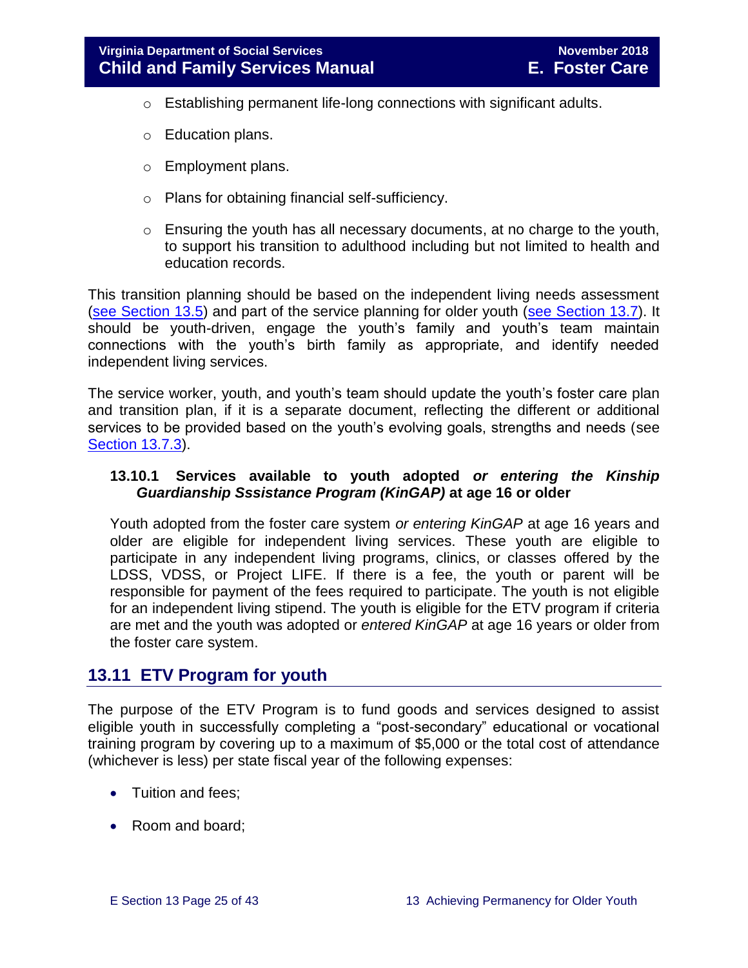- o Establishing permanent life-long connections with significant adults.
- o Education plans.
- o Employment plans.
- o Plans for obtaining financial self-sufficiency.
- o Ensuring the youth has all necessary documents, at no charge to the youth, to support his transition to adulthood including but not limited to health and education records.

This transition planning should be based on the independent living needs assessment (see [Section 13.5\)](http://www.dss.virginia.gov/files/division/dfs/fc/intro_page/guidance_manuals/fc/07_2015/Section_13_Achieving_Permanency_for_Older_Youth.pdf) and part of the service planning for older youth [\(see Section 13.7\)](http://www.dss.virginia.gov/files/division/dfs/fc/intro_page/guidance_manuals/fc/07_2015/Section_13_Achieving_Permanency_for_Older_Youth.pdf). It should be youth-driven, engage the youth's family and youth's team maintain connections with the youth's birth family as appropriate, and identify needed independent living services.

The service worker, youth, and youth's team should update the youth's foster care plan and transition plan, if it is a separate document, reflecting the different or additional services to be provided based on the youth's evolving goals, strengths and needs (see [Section 13.7.3\)](http://www.dss.virginia.gov/files/division/dfs/fc/intro_page/guidance_manuals/fc/07_2015/Section_13_Achieving_Permanency_for_Older_Youth.pdf).

#### **13.10.1 Services available to youth adopted** *or entering the Kinship Guardianship Sssistance Program (KinGAP)* **at age 16 or older**

Youth adopted from the foster care system *or entering KinGAP* at age 16 years and older are eligible for independent living services. These youth are eligible to participate in any independent living programs, clinics, or classes offered by the LDSS, VDSS, or Project LIFE. If there is a fee, the youth or parent will be responsible for payment of the fees required to participate. The youth is not eligible for an independent living stipend. The youth is eligible for the ETV program if criteria are met and the youth was adopted or *entered KinGAP* at age 16 years or older from the foster care system.

# <span id="page-24-0"></span>**13.11 ETV Program for youth**

The purpose of the ETV Program is to fund goods and services designed to assist eligible youth in successfully completing a "post-secondary" educational or vocational training program by covering up to a maximum of \$5,000 or the total cost of attendance (whichever is less) per state fiscal year of the following expenses:

- Tuition and fees;
- Room and board;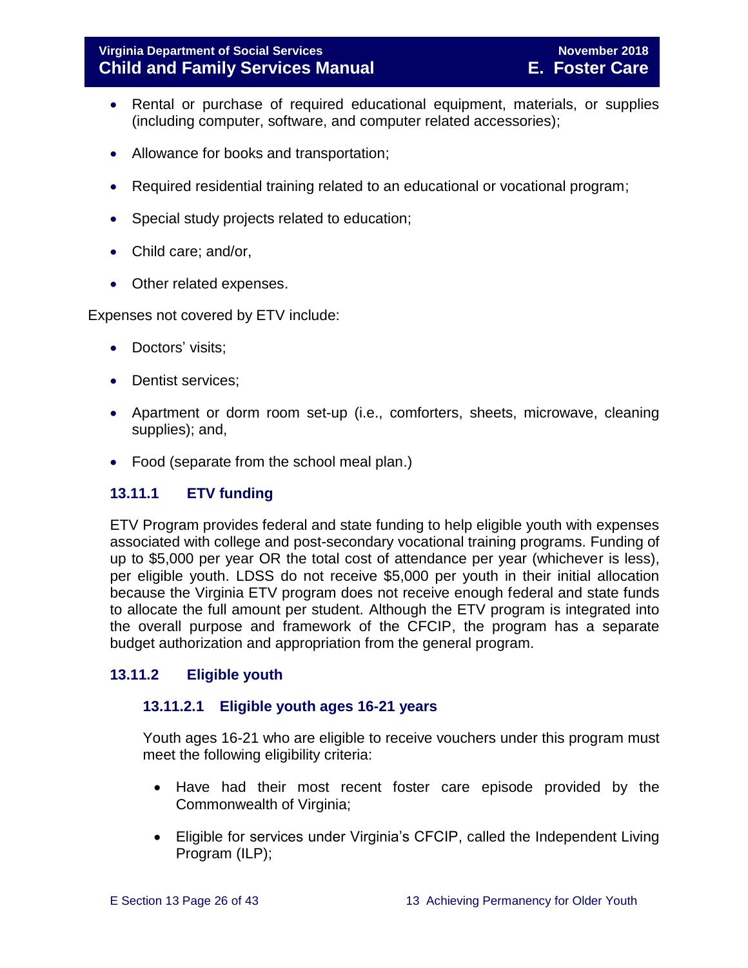- Rental or purchase of required educational equipment, materials, or supplies (including computer, software, and computer related accessories);
- Allowance for books and transportation;
- Required residential training related to an educational or vocational program;
- Special study projects related to education;
- Child care; and/or,
- Other related expenses.

Expenses not covered by ETV include:

- Doctors' visits;
- Dentist services:
- Apartment or dorm room set-up (i.e., comforters, sheets, microwave, cleaning supplies); and,
- Food (separate from the school meal plan.)

#### <span id="page-25-0"></span>**13.11.1 ETV funding**

ETV Program provides federal and state funding to help eligible youth with expenses associated with college and post-secondary vocational training programs. Funding of up to \$5,000 per year OR the total cost of attendance per year (whichever is less), per eligible youth. LDSS do not receive \$5,000 per youth in their initial allocation because the Virginia ETV program does not receive enough federal and state funds to allocate the full amount per student. Although the ETV program is integrated into the overall purpose and framework of the CFCIP, the program has a separate budget authorization and appropriation from the general program.

#### <span id="page-25-1"></span>**13.11.2 Eligible youth**

#### **13.11.2.1 Eligible youth ages 16-21 years**

Youth ages 16-21 who are eligible to receive vouchers under this program must meet the following eligibility criteria:

- Have had their most recent foster care episode provided by the Commonwealth of Virginia;
- Eligible for services under Virginia's CFCIP, called the Independent Living Program (ILP);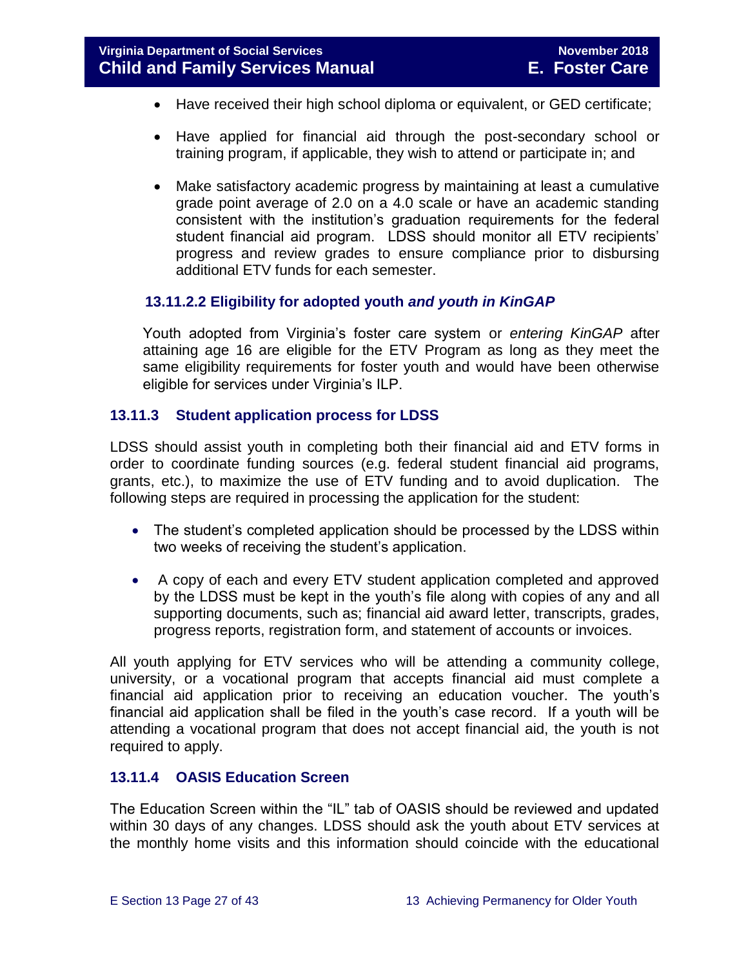- Have received their high school diploma or equivalent, or GED certificate;
- Have applied for financial aid through the post-secondary school or training program, if applicable, they wish to attend or participate in; and
- Make satisfactory academic progress by maintaining at least a cumulative grade point average of 2.0 on a 4.0 scale or have an academic standing consistent with the institution's graduation requirements for the federal student financial aid program. LDSS should monitor all ETV recipients' progress and review grades to ensure compliance prior to disbursing additional ETV funds for each semester.

#### **13.11.2.2 Eligibility for adopted youth** *and youth in KinGAP*

Youth adopted from Virginia's foster care system or *entering KinGAP* after attaining age 16 are eligible for the ETV Program as long as they meet the same eligibility requirements for foster youth and would have been otherwise eligible for services under Virginia's ILP.

#### <span id="page-26-0"></span>**13.11.3 Student application process for LDSS**

LDSS should assist youth in completing both their financial aid and ETV forms in order to coordinate funding sources (e.g. federal student financial aid programs, grants, etc.), to maximize the use of ETV funding and to avoid duplication. The following steps are required in processing the application for the student:

- The student's completed application should be processed by the LDSS within two weeks of receiving the student's application.
- A copy of each and every ETV student application completed and approved by the LDSS must be kept in the youth's file along with copies of any and all supporting documents, such as; financial aid award letter, transcripts, grades, progress reports, registration form, and statement of accounts or invoices.

All youth applying for ETV services who will be attending a community college, university, or a vocational program that accepts financial aid must complete a financial aid application prior to receiving an education voucher. The youth's financial aid application shall be filed in the youth's case record. If a youth will be attending a vocational program that does not accept financial aid, the youth is not required to apply.

#### <span id="page-26-1"></span>**13.11.4 OASIS Education Screen**

The Education Screen within the "IL" tab of OASIS should be reviewed and updated within 30 days of any changes. LDSS should ask the youth about ETV services at the monthly home visits and this information should coincide with the educational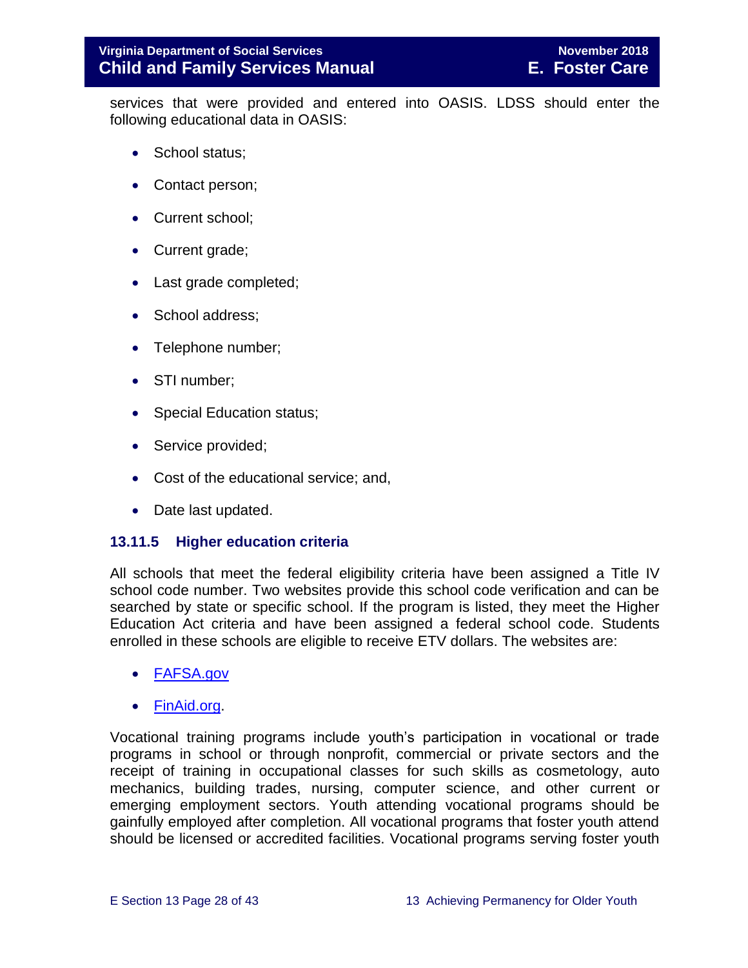services that were provided and entered into OASIS. LDSS should enter the following educational data in OASIS:

- School status;
- Contact person;
- Current school;
- Current grade;
- Last grade completed;
- School address;
- Telephone number;
- STI number;
- Special Education status;
- Service provided;
- Cost of the educational service; and,
- Date last updated.

#### <span id="page-27-0"></span>**13.11.5 Higher education criteria**

All schools that meet the federal eligibility criteria have been assigned a Title IV school code number. Two websites provide this school code verification and can be searched by state or specific school. If the program is listed, they meet the Higher Education Act criteria and have been assigned a federal school code. Students enrolled in these schools are eligible to receive ETV dollars. The websites are:

- [FAFSA.gov](https://fafsa.ed.gov/FAFSA/app/schoolSearch?locale=en_EN)
- [FinAid.org.](http://www.finaid.org/)

Vocational training programs include youth's participation in vocational or trade programs in school or through nonprofit, commercial or private sectors and the receipt of training in occupational classes for such skills as cosmetology, auto mechanics, building trades, nursing, computer science, and other current or emerging employment sectors. Youth attending vocational programs should be gainfully employed after completion. All vocational programs that foster youth attend should be licensed or accredited facilities. Vocational programs serving foster youth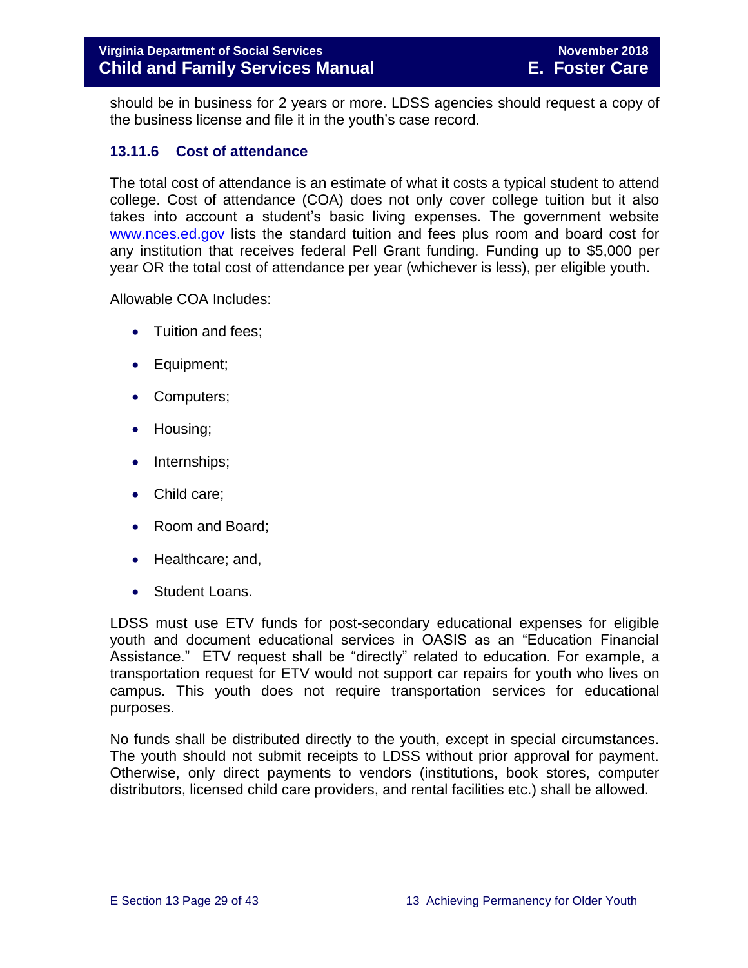should be in business for 2 years or more. LDSS agencies should request a copy of the business license and file it in the youth's case record.

#### <span id="page-28-0"></span>**13.11.6 Cost of attendance**

The total cost of attendance is an estimate of what it costs a typical student to attend college. Cost of attendance (COA) does not only cover college tuition but it also takes into account a student's basic living expenses. The government website [www.nces.ed.gov](http://nces.ed.gov/) lists the standard tuition and fees plus room and board cost for any institution that receives federal Pell Grant funding. Funding up to \$5,000 per year OR the total cost of attendance per year (whichever is less), per eligible youth.

Allowable COA Includes:

- Tuition and fees:
- Equipment;
- Computers;
- Housing;
- Internships;
- Child care;
- Room and Board;
- Healthcare; and,
- Student Loans.

LDSS must use ETV funds for post-secondary educational expenses for eligible youth and document educational services in OASIS as an "Education Financial Assistance." ETV request shall be "directly" related to education. For example, a transportation request for ETV would not support car repairs for youth who lives on campus. This youth does not require transportation services for educational purposes.

No funds shall be distributed directly to the youth, except in special circumstances. The youth should not submit receipts to LDSS without prior approval for payment. Otherwise, only direct payments to vendors (institutions, book stores, computer distributors, licensed child care providers, and rental facilities etc.) shall be allowed.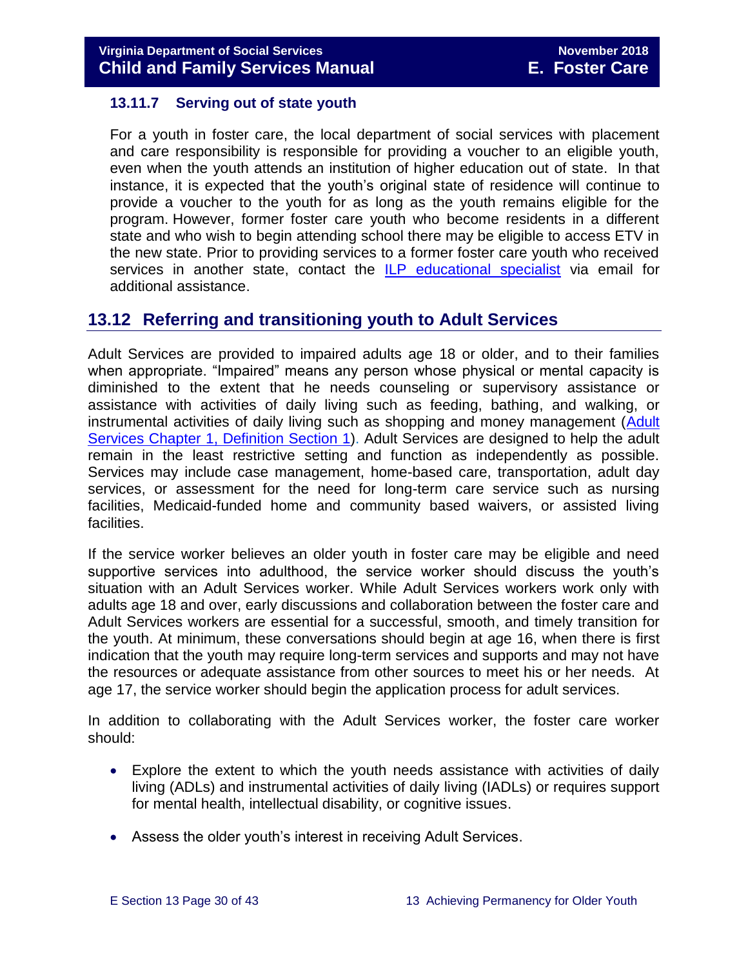#### <span id="page-29-0"></span>**13.11.7 Serving out of state youth**

For a youth in foster care, the local department of social services with placement and care responsibility is responsible for providing a voucher to an eligible youth, even when the youth attends an institution of higher education out of state. In that instance, it is expected that the youth's original state of residence will continue to provide a voucher to the youth for as long as the youth remains eligible for the program. However, former foster care youth who become residents in a different state and who wish to begin attending school there may be eligible to access ETV in the new state. Prior to providing services to a former foster care youth who received services in another state, contact the ILP [educational specialist](mailto:ilp.etv@dss.virginia.gov) via email for additional assistance.

#### <span id="page-29-1"></span>**13.12 Referring and transitioning youth to Adult Services**

Adult Services are provided to impaired adults age 18 or older, and to their families when appropriate. "Impaired" means any person whose physical or mental capacity is diminished to the extent that he needs counseling or supervisory assistance or assistance with activities of daily living such as feeding, bathing, and walking, or instrumental activities of daily living such as shopping and money management [\(Adult](http://www.dss.virginia.gov/files/division/dfs/as/as_intro_page/manuals/as/chapter_1_introduction_2016.pdf)  [Services Chapter 1, Definition Section 1\)](http://www.dss.virginia.gov/files/division/dfs/as/as_intro_page/manuals/as/chapter_1_introduction_2016.pdf). Adult Services are designed to help the adult remain in the least restrictive setting and function as independently as possible. Services may include case management, home-based care, transportation, adult day services, or assessment for the need for long-term care service such as nursing facilities, Medicaid-funded home and community based waivers, or assisted living facilities.

If the service worker believes an older youth in foster care may be eligible and need supportive services into adulthood, the service worker should discuss the youth's situation with an Adult Services worker. While Adult Services workers work only with adults age 18 and over, early discussions and collaboration between the foster care and Adult Services workers are essential for a successful, smooth, and timely transition for the youth. At minimum, these conversations should begin at age 16, when there is first indication that the youth may require long-term services and supports and may not have the resources or adequate assistance from other sources to meet his or her needs. At age 17, the service worker should begin the application process for adult services.

In addition to collaborating with the Adult Services worker, the foster care worker should:

- Explore the extent to which the youth needs assistance with activities of daily living (ADLs) and instrumental activities of daily living (IADLs) or requires support for mental health, intellectual disability, or cognitive issues.
- Assess the older youth's interest in receiving Adult Services.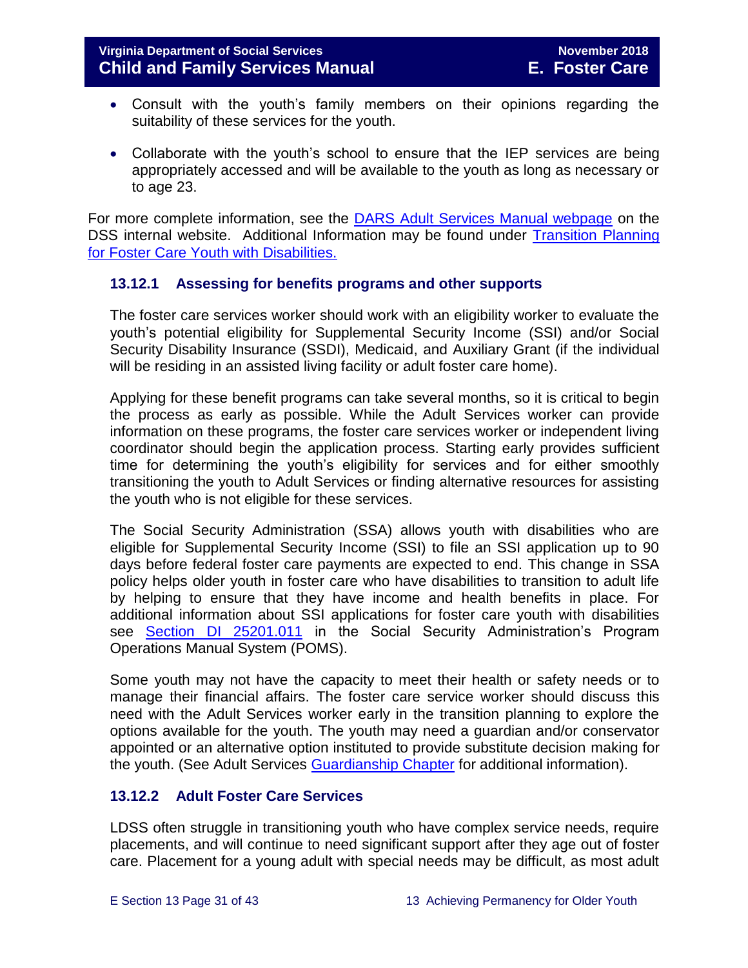- Consult with the youth's family members on their opinions regarding the suitability of these services for the youth.
- Collaborate with the youth's school to ensure that the IEP services are being appropriately accessed and will be available to the youth as long as necessary or to age 23.

For more complete information, see the [DARS Adult Services Manual webpage](http://spark.dss.virginia.gov/divisions/dfs/as/manual.cgi) on the DSS internal website. Additional Information may be found under [Transition Planning](http://spark.dss.virginia.gov/divisions/dfs/fc/files/guidance_procedures_faq/guidance_procedures/tranistion_plan_disabilities.pdf)  [for Foster Care Youth with Disabilities.](http://spark.dss.virginia.gov/divisions/dfs/fc/files/guidance_procedures_faq/guidance_procedures/tranistion_plan_disabilities.pdf)

#### <span id="page-30-0"></span>**13.12.1 Assessing for benefits programs and other supports**

The foster care services worker should work with an eligibility worker to evaluate the youth's potential eligibility for Supplemental Security Income (SSI) and/or Social Security Disability Insurance (SSDI), Medicaid, and Auxiliary Grant (if the individual will be residing in an assisted living facility or adult foster care home).

Applying for these benefit programs can take several months, so it is critical to begin the process as early as possible. While the Adult Services worker can provide information on these programs, the foster care services worker or independent living coordinator should begin the application process. Starting early provides sufficient time for determining the youth's eligibility for services and for either smoothly transitioning the youth to Adult Services or finding alternative resources for assisting the youth who is not eligible for these services.

The Social Security Administration (SSA) allows youth with disabilities who are eligible for Supplemental Security Income (SSI) to file an SSI application up to 90 days before federal foster care payments are expected to end. This change in SSA policy helps older youth in foster care who have disabilities to transition to adult life by helping to ensure that they have income and health benefits in place. For additional information about SSI applications for foster care youth with disabilities see [Section DI 25201.011](https://secure.ssa.gov/apps10/poms.nsf/subchapterlist!openview&restricttocategory=04252) in the Social Security Administration's Program Operations Manual System (POMS).

Some youth may not have the capacity to meet their health or safety needs or to manage their financial affairs. The foster care service worker should discuss this need with the Adult Services worker early in the transition planning to explore the options available for the youth. The youth may need a guardian and/or conservator appointed or an alternative option instituted to provide substitute decision making for the youth. (See Adult Services [Guardianship Chapter](http://spark.dss.virginia.gov/divisions/dfs/as/files/manuals/adult_services/chapter_7_guardianship_2016_July.pdf) for additional information).

#### <span id="page-30-1"></span>**13.12.2 Adult Foster Care Services**

LDSS often struggle in transitioning youth who have complex service needs, require placements, and will continue to need significant support after they age out of foster care. Placement for a young adult with special needs may be difficult, as most adult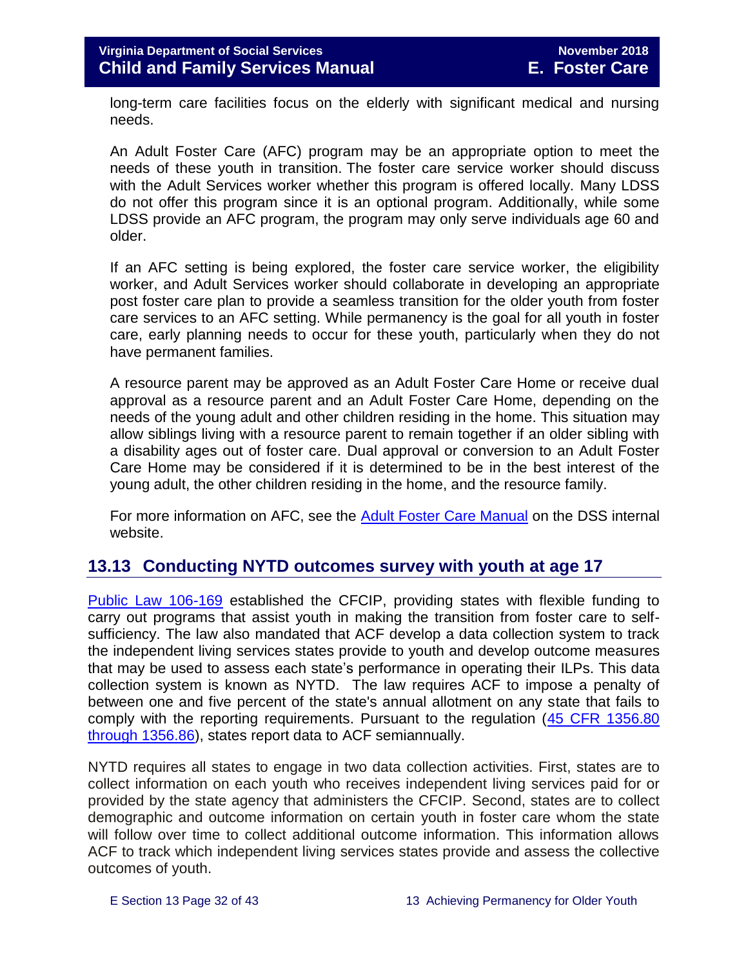long-term care facilities focus on the elderly with significant medical and nursing needs.

An Adult Foster Care (AFC) program may be an appropriate option to meet the needs of these youth in transition. The foster care service worker should discuss with the Adult Services worker whether this program is offered locally. Many LDSS do not offer this program since it is an optional program. Additionally, while some LDSS provide an AFC program, the program may only serve individuals age 60 and older.

If an AFC setting is being explored, the foster care service worker, the eligibility worker, and Adult Services worker should collaborate in developing an appropriate post foster care plan to provide a seamless transition for the older youth from foster care services to an AFC setting. While permanency is the goal for all youth in foster care, early planning needs to occur for these youth, particularly when they do not have permanent families.

A resource parent may be approved as an Adult Foster Care Home or receive dual approval as a resource parent and an Adult Foster Care Home, depending on the needs of the young adult and other children residing in the home. This situation may allow siblings living with a resource parent to remain together if an older sibling with a disability ages out of foster care. Dual approval or conversion to an Adult Foster Care Home may be considered if it is determined to be in the best interest of the young adult, the other children residing in the home, and the resource family.

For more information on AFC, see the [Adult Foster Care Manual](http://spark.dss.virginia.gov/divisions/dfs/as/manual.cgi) on the DSS internal website.

# <span id="page-31-0"></span>**13.13 Conducting NYTD outcomes survey with youth at age 17**

[Public Law 106-169](https://www.gpo.gov/fdsys/pkg/PLAW-106publ169/pdf/PLAW-106publ169.pdf) established the CFCIP, providing states with flexible funding to carry out programs that assist youth in making the transition from foster care to selfsufficiency. The law also mandated that ACF develop a data collection system to track the independent living services states provide to youth and develop outcome measures that may be used to assess each state's performance in operating their ILPs. This data collection system is known as NYTD. The law requires ACF to impose a penalty of between one and five percent of the state's annual allotment on any state that fails to comply with the reporting requirements. Pursuant to the regulation [\(45 CFR 1356.80](http://www.ecfr.gov/cgi-bin/retrieveECFR?gp=1&SID=3d9be8b33d08994a45cff8aaff9f9476&ty=HTML&h=L&mc=true&r=PART&n=pt45.4.1356)  [through 1356.86\)](http://www.ecfr.gov/cgi-bin/retrieveECFR?gp=1&SID=3d9be8b33d08994a45cff8aaff9f9476&ty=HTML&h=L&mc=true&r=PART&n=pt45.4.1356), states report data to ACF semiannually.

NYTD requires all states to engage in two data collection activities. First, states are to collect information on each youth who receives independent living services paid for or provided by the state agency that administers the CFCIP. Second, states are to collect demographic and outcome information on certain youth in foster care whom the state will follow over time to collect additional outcome information. This information allows ACF to track which independent living services states provide and assess the collective outcomes of youth.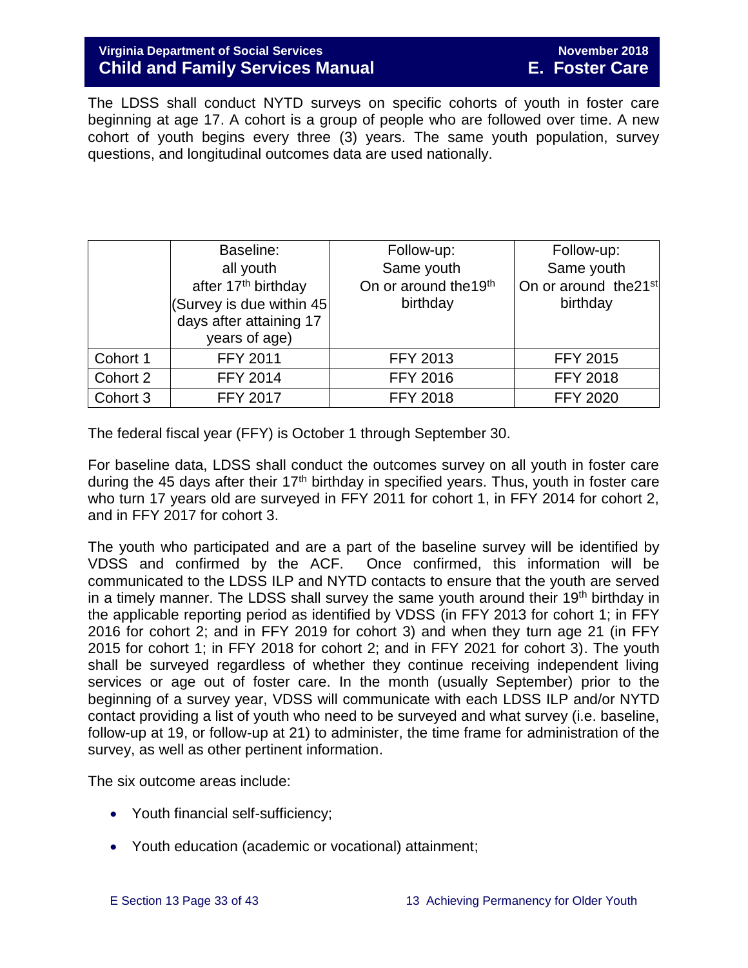The LDSS shall conduct NYTD surveys on specific cohorts of youth in foster care beginning at age 17. A cohort is a group of people who are followed over time. A new cohort of youth begins every three (3) years. The same youth population, survey questions, and longitudinal outcomes data are used nationally.

|          | Baseline:                       | Follow-up:                        | Follow-up:                        |
|----------|---------------------------------|-----------------------------------|-----------------------------------|
|          | all youth                       | Same youth                        | Same youth                        |
|          | after 17 <sup>th</sup> birthday | On or around the 19 <sup>th</sup> | On or around the 21 <sup>st</sup> |
|          | (Survey is due within 45)       | birthday                          | birthday                          |
|          | days after attaining 17         |                                   |                                   |
|          | years of age)                   |                                   |                                   |
| Cohort 1 | <b>FFY 2011</b>                 | <b>FFY 2013</b>                   | <b>FFY 2015</b>                   |
| Cohort 2 | <b>FFY 2014</b>                 | <b>FFY 2016</b>                   | <b>FFY 2018</b>                   |
| Cohort 3 | <b>FFY 2017</b>                 | <b>FFY 2018</b>                   | <b>FFY 2020</b>                   |

The federal fiscal year (FFY) is October 1 through September 30.

For baseline data, LDSS shall conduct the outcomes survey on all youth in foster care during the 45 days after their  $17<sup>th</sup>$  birthday in specified years. Thus, youth in foster care who turn 17 years old are surveyed in FFY 2011 for cohort 1, in FFY 2014 for cohort 2, and in FFY 2017 for cohort 3.

The youth who participated and are a part of the baseline survey will be identified by VDSS and confirmed by the ACF. Once confirmed, this information will be communicated to the LDSS ILP and NYTD contacts to ensure that the youth are served in a timely manner. The LDSS shall survey the same youth around their 19<sup>th</sup> birthday in the applicable reporting period as identified by VDSS (in FFY 2013 for cohort 1; in FFY 2016 for cohort 2; and in FFY 2019 for cohort 3) and when they turn age 21 (in FFY 2015 for cohort 1; in FFY 2018 for cohort 2; and in FFY 2021 for cohort 3). The youth shall be surveyed regardless of whether they continue receiving independent living services or age out of foster care. In the month (usually September) prior to the beginning of a survey year, VDSS will communicate with each LDSS ILP and/or NYTD contact providing a list of youth who need to be surveyed and what survey (i.e. baseline, follow-up at 19, or follow-up at 21) to administer, the time frame for administration of the survey, as well as other pertinent information.

The six outcome areas include:

- Youth financial self-sufficiency;
- Youth education (academic or vocational) attainment;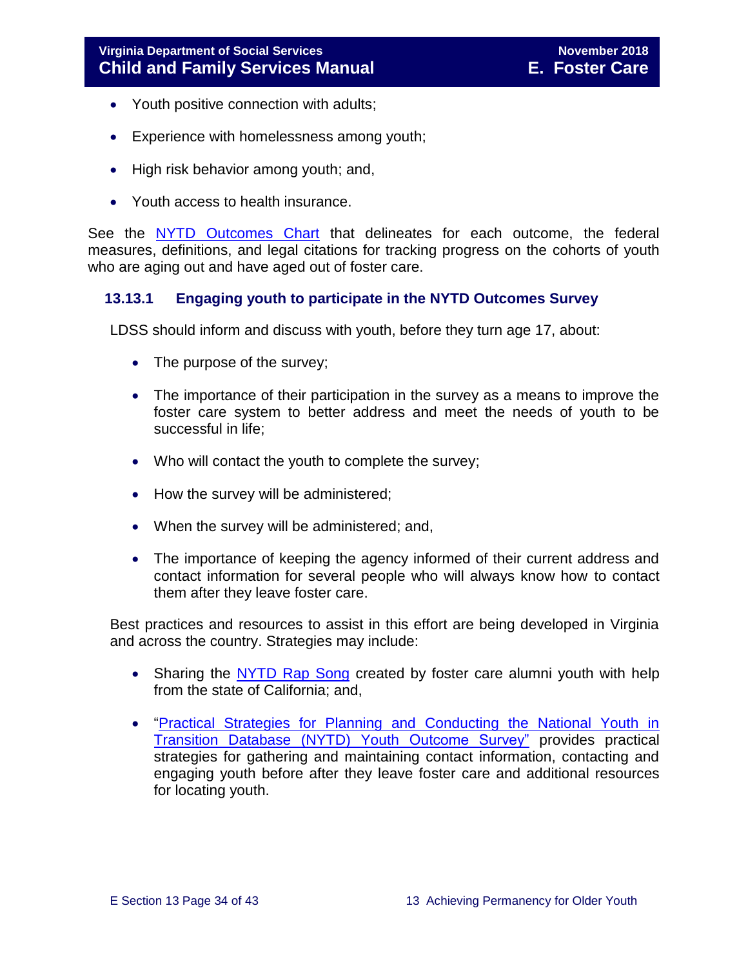- Youth positive connection with adults;
- Experience with homelessness among youth;
- High risk behavior among youth; and,
- Youth access to health insurance.

See the [NYTD Outcomes Chart](http://spark.dss.virginia.gov/divisions/dfs/fc/files/ilp/nytd/guidance_procedures/outcomes_measures.pdf) that delineates for each outcome, the federal measures, definitions, and legal citations for tracking progress on the cohorts of youth who are aging out and have aged out of foster care.

#### <span id="page-33-0"></span>**13.13.1 Engaging youth to participate in the NYTD Outcomes Survey**

LDSS should inform and discuss with youth, before they turn age 17, about:

- The purpose of the survey;
- The importance of their participation in the survey as a means to improve the foster care system to better address and meet the needs of youth to be successful in life;
- Who will contact the youth to complete the survey;
- How the survey will be administered;
- When the survey will be administered; and,
- The importance of keeping the agency informed of their current address and contact information for several people who will always know how to contact them after they leave foster care.

Best practices and resources to assist in this effort are being developed in Virginia and across the country. Strategies may include:

- Sharing the [NYTD Rap Song](http://www.fosterclub.com/article/u-nytd-rap) created by foster care alumni youth with help from the state of California; and,
- ["Practical Strategies for Planning and Conducting the National Youth in](http://www.pacwrc.pitt.edu/Curriculum/202%20National%20Youth%20in%20Transition%20Database/Trnr%20Rsrcs/TR02_PrctclStrtgsFrTrckngAndLctngYth.pdf)  [Transition Database \(NYTD\) Youth](http://www.pacwrc.pitt.edu/Curriculum/202%20National%20Youth%20in%20Transition%20Database/Trnr%20Rsrcs/TR02_PrctclStrtgsFrTrckngAndLctngYth.pdf) Outcome Survey" provides practical strategies for gathering and maintaining contact information, contacting and engaging youth before after they leave foster care and additional resources for locating youth.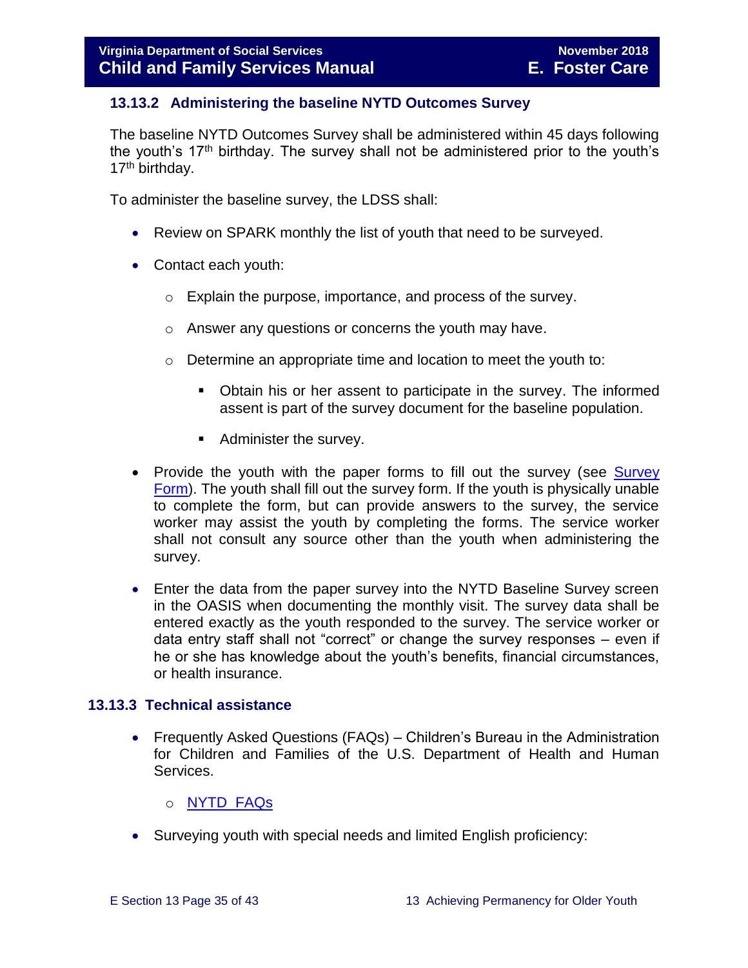#### <span id="page-34-0"></span>**13.13.2 Administering the baseline NYTD Outcomes Survey**

The baseline NYTD Outcomes Survey shall be administered within 45 days following the youth's  $17<sup>th</sup>$  birthday. The survey shall not be administered prior to the youth's 17<sup>th</sup> birthday.

To administer the baseline survey, the LDSS shall:

- Review on SPARK monthly the list of youth that need to be surveyed.
- Contact each youth:
	- o Explain the purpose, importance, and process of the survey.
	- o Answer any questions or concerns the youth may have.
	- o Determine an appropriate time and location to meet the youth to:
		- Obtain his or her assent to participate in the survey. The informed assent is part of the survey document for the baseline population.
		- Administer the survey.
- Provide the youth with the paper forms to fill out the survey (see Survey [Form\)](http://spark.dss.virginia.gov/divisions/dfs/fc/files/ilp/nytd/surveys/baseline_survey_age17.pdf). The youth shall fill out the survey form. If the youth is physically unable to complete the form, but can provide answers to the survey, the service worker may assist the youth by completing the forms. The service worker shall not consult any source other than the youth when administering the survey.
- Enter the data from the paper survey into the NYTD Baseline Survey screen in the OASIS when documenting the monthly visit. The survey data shall be entered exactly as the youth responded to the survey. The service worker or data entry staff shall not "correct" or change the survey responses – even if he or she has knowledge about the youth's benefits, financial circumstances, or health insurance.

#### <span id="page-34-1"></span>**13.13.3 Technical assistance**

- Frequently Asked Questions (FAQs) Children's Bureau in the Administration for Children and Families of the U.S. Department of Health and Human Services.
	- o [NYTD FAQs](https://www.childwelfare.gov/cb/research-data-technology/reporting-systems/nytd/faq/)
- Surveying youth with special needs and limited English proficiency: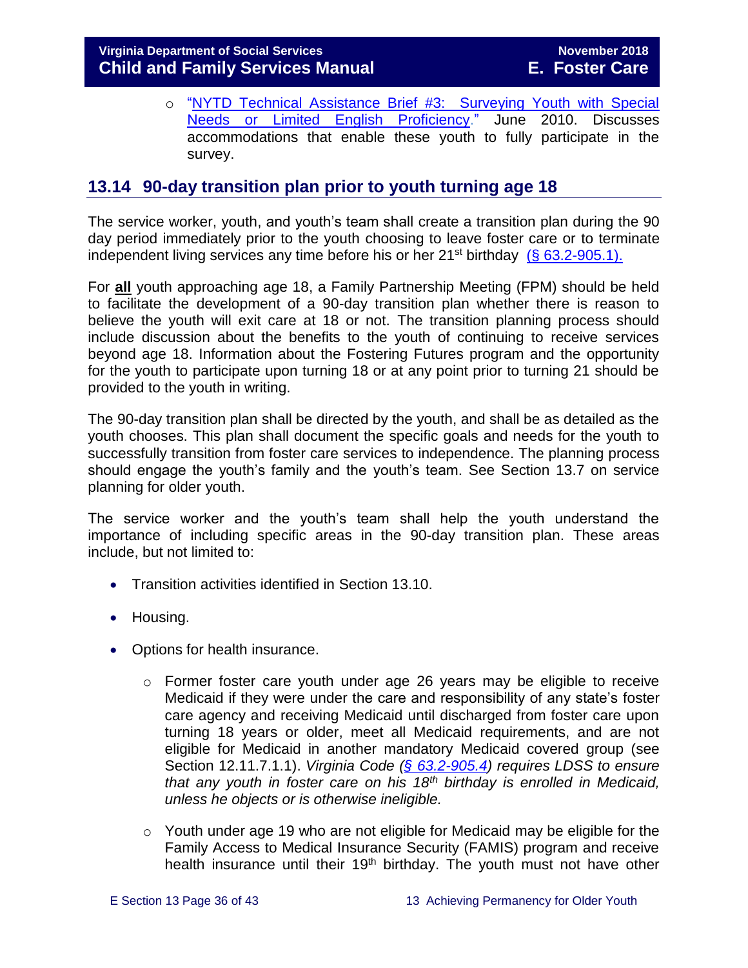o ["NYTD Technical Assistance Brief #3: Surveying Youth with Special](http://www.acf.hhs.gov/programs/cb/resource/nytd-data-brief-3)  [Needs or Limited English Proficiency.](http://www.acf.hhs.gov/programs/cb/resource/nytd-data-brief-3)" June 2010. Discusses accommodations that enable these youth to fully participate in the survey.

# <span id="page-35-0"></span>**13.14 90-day transition plan prior to youth turning age 18**

The service worker, youth, and youth's team shall create a transition plan during the 90 day period immediately prior to the youth choosing to leave foster care or to terminate independent living services any time before his or her  $21^{st}$  birthday [\(§ 63.2-905.1\).](http://law.lis.virginia.gov/vacode/title63.2/chapter9/section63.2-905.1/)

For **all** youth approaching age 18, a Family Partnership Meeting (FPM) should be held to facilitate the development of a 90-day transition plan whether there is reason to believe the youth will exit care at 18 or not. The transition planning process should include discussion about the benefits to the youth of continuing to receive services beyond age 18. Information about the Fostering Futures program and the opportunity for the youth to participate upon turning 18 or at any point prior to turning 21 should be provided to the youth in writing.

The 90-day transition plan shall be directed by the youth, and shall be as detailed as the youth chooses. This plan shall document the specific goals and needs for the youth to successfully transition from foster care services to independence. The planning process should engage the youth's family and the youth's team. See Section 13.7 on service planning for older youth.

The service worker and the youth's team shall help the youth understand the importance of including specific areas in the 90-day transition plan. These areas include, but not limited to:

- **Transition activities identified in Section 13.10.**
- Housing.
- Options for health insurance.
	- $\circ$  Former foster care youth under age 26 years may be eligible to receive Medicaid if they were under the care and responsibility of any state's foster care agency and receiving Medicaid until discharged from foster care upon turning 18 years or older, meet all Medicaid requirements, and are not eligible for Medicaid in another mandatory Medicaid covered group (see Section 12.11.7.1.1). *Virginia Code [\(§ 63.2-905.4\)](https://law.lis.virginia.gov/vacode/title63.2/chapter9/section63.2-905.4/) requires LDSS to ensure that any youth in foster care on his 18th birthday is enrolled in Medicaid, unless he objects or is otherwise ineligible.*
	- $\circ$  Youth under age 19 who are not eligible for Medicaid may be eligible for the Family Access to Medical Insurance Security (FAMIS) program and receive health insurance until their 19<sup>th</sup> birthday. The youth must not have other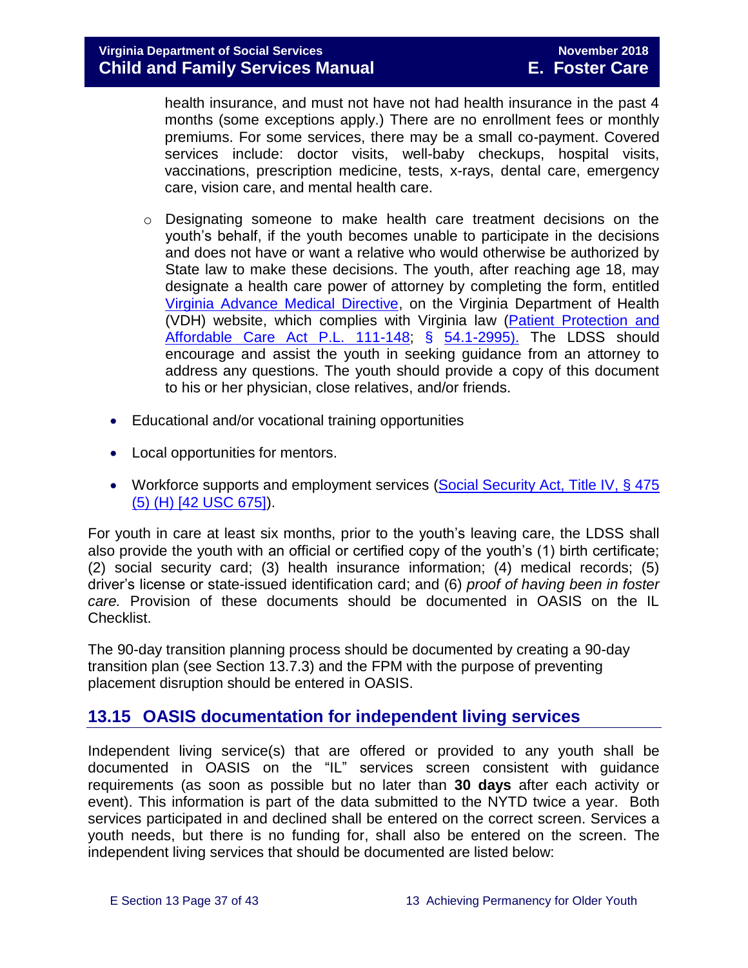health insurance, and must not have not had health insurance in the past 4 months (some exceptions apply.) There are no enrollment fees or monthly premiums. For some services, there may be a small co-payment. Covered services include: doctor visits, well-baby checkups, hospital visits, vaccinations, prescription medicine, tests, x-rays, dental care, emergency care, vision care, and mental health care.

- $\circ$  Designating someone to make health care treatment decisions on the youth's behalf, if the youth becomes unable to participate in the decisions and does not have or want a relative who would otherwise be authorized by State law to make these decisions. The youth, after reaching age 18, may designate a health care power of attorney by completing the form, entitled [Virginia Advance Medical Directive,](http://www.vdh.virginia.gov/OLC/documents/2008/pdfs/2005%20advanced%20directive%20form.pdf) on the Virginia Department of Health (VDH) website, which complies with Virginia law [\(Patient Protection and](http://www.gpo.gov/fdsys/pkg/PLAW-111publ148/pdf/PLAW-111publ148.pdf)  [Affordable Care Act P.L. 111-148;](http://www.gpo.gov/fdsys/pkg/PLAW-111publ148/pdf/PLAW-111publ148.pdf) § [54.1-2995\).](http://law.lis.virginia.gov/vacode/54.1-2995/) The LDSS should encourage and assist the youth in seeking guidance from an attorney to address any questions. The youth should provide a copy of this document to his or her physician, close relatives, and/or friends.
- Educational and/or vocational training opportunities
- Local opportunities for mentors.
- Workforce supports and employment services (Social Security Act, Title IV, § 475 [\(5\) \(H\) \[42 USC 675\]\)](http://www.ssa.gov/OP_Home/ssact/title04/0475.htm).

For youth in care at least six months, prior to the youth's leaving care, the LDSS shall also provide the youth with an official or certified copy of the youth's (1) birth certificate; (2) social security card; (3) health insurance information; (4) medical records; (5) driver's license or state-issued identification card; and (6) *proof of having been in foster care.* Provision of these documents should be documented in OASIS on the IL Checklist.

The 90-day transition planning process should be documented by creating a 90-day transition plan (see Section 13.7.3) and the FPM with the purpose of preventing placement disruption should be entered in OASIS.

# <span id="page-36-0"></span>**13.15 OASIS documentation for independent living services**

Independent living service(s) that are offered or provided to any youth shall be documented in OASIS on the "IL" services screen consistent with guidance requirements (as soon as possible but no later than **30 days** after each activity or event). This information is part of the data submitted to the NYTD twice a year. Both services participated in and declined shall be entered on the correct screen. Services a youth needs, but there is no funding for, shall also be entered on the screen. The independent living services that should be documented are listed below: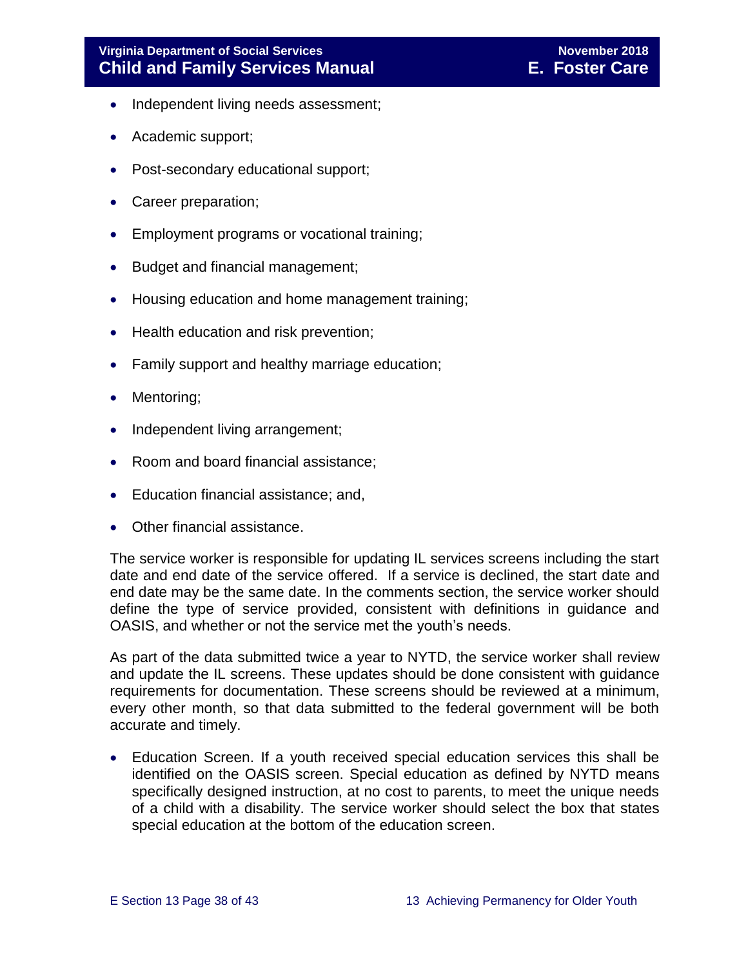- Independent living needs assessment;
- Academic support;
- Post-secondary educational support;
- Career preparation;
- Employment programs or vocational training;
- Budget and financial management;
- Housing education and home management training;
- Health education and risk prevention;
- Family support and healthy marriage education;
- Mentoring;
- Independent living arrangement;
- Room and board financial assistance;
- Education financial assistance; and,
- Other financial assistance.

The service worker is responsible for updating IL services screens including the start date and end date of the service offered. If a service is declined, the start date and end date may be the same date. In the comments section, the service worker should define the type of service provided, consistent with definitions in guidance and OASIS, and whether or not the service met the youth's needs.

As part of the data submitted twice a year to NYTD, the service worker shall review and update the IL screens. These updates should be done consistent with guidance requirements for documentation. These screens should be reviewed at a minimum, every other month, so that data submitted to the federal government will be both accurate and timely.

 Education Screen. If a youth received special education services this shall be identified on the OASIS screen. Special education as defined by NYTD means specifically designed instruction, at no cost to parents, to meet the unique needs of a child with a disability. The service worker should select the box that states special education at the bottom of the education screen.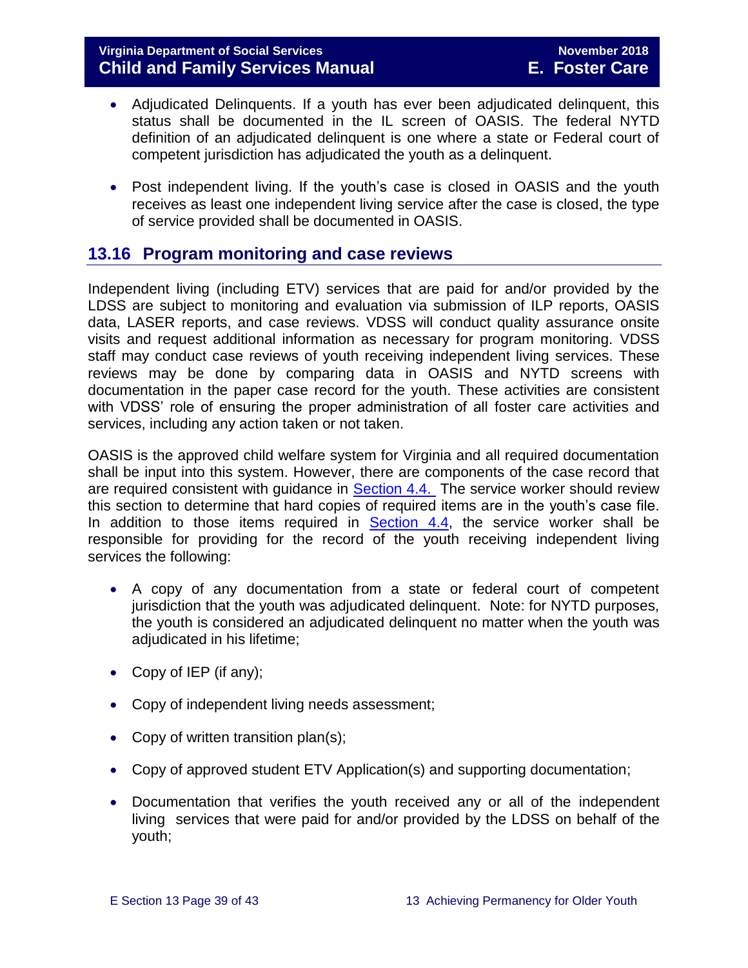- Adjudicated Delinquents. If a youth has ever been adjudicated delinquent, this status shall be documented in the IL screen of OASIS. The federal NYTD definition of an adjudicated delinquent is one where a state or Federal court of competent jurisdiction has adjudicated the youth as a delinquent.
- Post independent living. If the youth's case is closed in OASIS and the youth receives as least one independent living service after the case is closed, the type of service provided shall be documented in OASIS.

# <span id="page-38-0"></span>**13.16 Program monitoring and case reviews**

Independent living (including ETV) services that are paid for and/or provided by the LDSS are subject to monitoring and evaluation via submission of ILP reports, OASIS data, LASER reports, and case reviews. VDSS will conduct quality assurance onsite visits and request additional information as necessary for program monitoring. VDSS staff may conduct case reviews of youth receiving independent living services. These reviews may be done by comparing data in OASIS and NYTD screens with documentation in the paper case record for the youth. These activities are consistent with VDSS' role of ensuring the proper administration of all foster care activities and services, including any action taken or not taken.

OASIS is the approved child welfare system for Virginia and all required documentation shall be input into this system. However, there are components of the case record that are required consistent with guidance in **Section 4.4.** The service worker should review this section to determine that hard copies of required items are in the youth's case file. In addition to those items required in  $Section 4.4$ , the service worker shall be responsible for providing for the record of the youth receiving independent living services the following:

- A copy of any documentation from a state or federal court of competent jurisdiction that the youth was adjudicated delinquent. Note: for NYTD purposes, the youth is considered an adjudicated delinquent no matter when the youth was adjudicated in his lifetime;
- Copy of IEP (if any);
- Copy of independent living needs assessment;
- Copy of written transition plan(s);
- Copy of approved student ETV Application(s) and supporting documentation;
- Documentation that verifies the youth received any or all of the independent living services that were paid for and/or provided by the LDSS on behalf of the youth;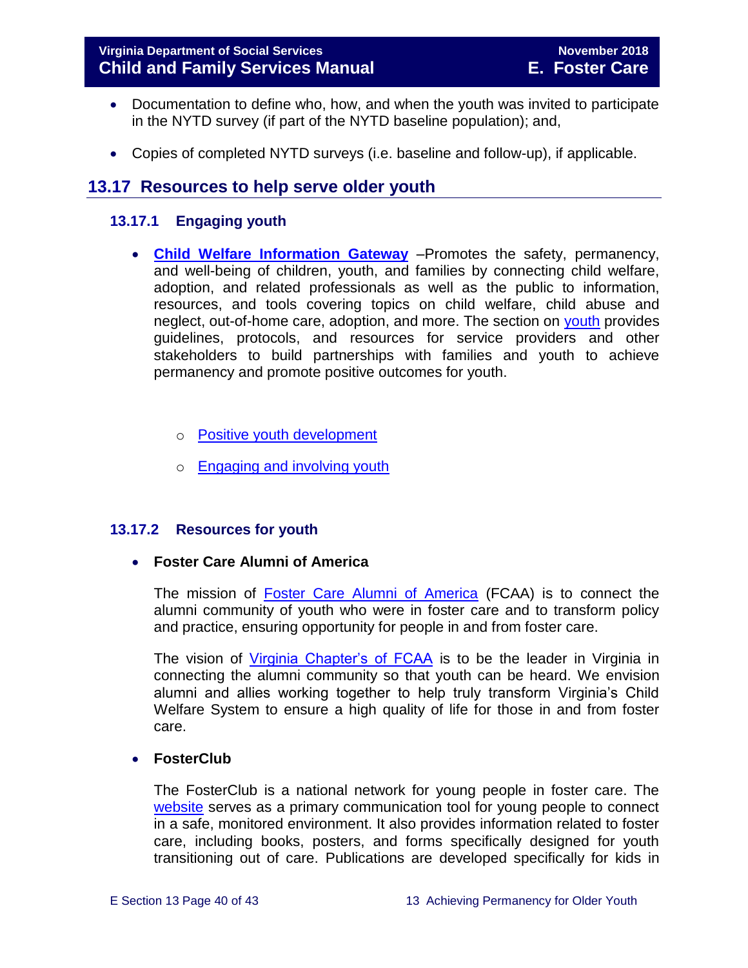- Documentation to define who, how, and when the youth was invited to participate in the NYTD survey (if part of the NYTD baseline population); and,
- Copies of completed NYTD surveys (i.e. baseline and follow-up), if applicable.

# <span id="page-39-0"></span>**13.17 Resources to help serve older youth**

#### <span id="page-39-1"></span>**13.17.1 Engaging youth**

- **[Child Welfare Information Gateway](https://www.childwelfare.gov/)** –Promotes the safety, permanency, and well-being of children, youth, and families by connecting child welfare, adoption, and related professionals as well as the public to information, resources, and tools covering topics on child welfare, child abuse and neglect, out-of-home care, adoption, and more. The section on [youth](https://www.childwelfare.gov/topics/systemwide/youth/) provides guidelines, protocols, and resources for service providers and other stakeholders to build partnerships with families and youth to achieve permanency and promote positive outcomes for youth.
	- o [Positive youth development](https://www.childwelfare.gov/topics/systemwide/youth/development/)
	- o [Engaging and involving youth](https://www.childwelfare.gov/topics/systemwide/youth/engagingyouth/)

#### <span id="page-39-2"></span>**13.17.2 Resources for youth**

**Foster Care Alumni of America**

The mission of [Foster Care Alumni of America](http://www.fostercarealumni.org/) (FCAA) is to connect the alumni community of youth who were in foster care and to transform policy and practice, ensuring opportunity for people in and from foster care.

The vision of [Virginia Chapter's of FCAA](http://www.fostercarealumni.org/virginia-chapter/) is to be the leader in Virginia in connecting the alumni community so that youth can be heard. We envision alumni and allies working together to help truly transform Virginia's Child Welfare System to ensure a high quality of life for those in and from foster care.

#### **FosterClub**

The FosterClub is a national network for young people in foster care. The [website](http://www.fosterclub.com/) serves as a primary communication tool for young people to connect in a safe, monitored environment. It also provides information related to foster care, including books, posters, and forms specifically designed for youth transitioning out of care. Publications are developed specifically for kids in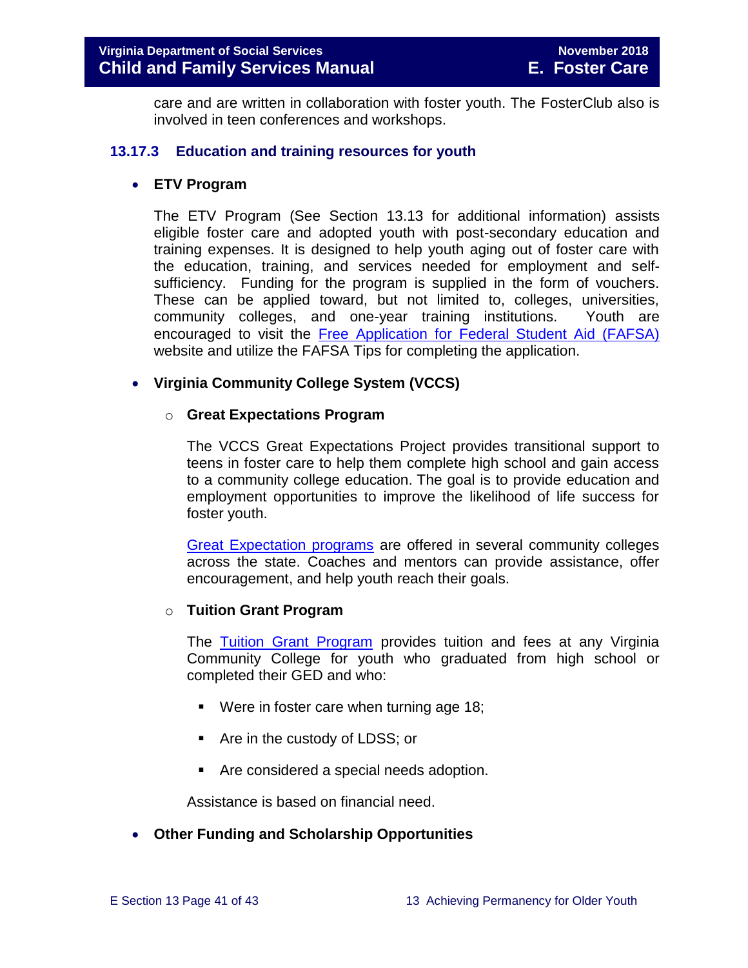care and are written in collaboration with foster youth. The FosterClub also is involved in teen conferences and workshops.

#### <span id="page-40-0"></span>**13.17.3 Education and training resources for youth**

#### **ETV Program**

The ETV Program (See Section 13.13 for additional information) assists eligible foster care and adopted youth with post-secondary education and training expenses. It is designed to help youth aging out of foster care with the education, training, and services needed for employment and selfsufficiency. Funding for the program is supplied in the form of vouchers. These can be applied toward, but not limited to, colleges, universities, community colleges, and one-year training institutions. Youth are encouraged to visit the [Free Application for Federal Student Aid \(FAFSA\)](http://www.fafsa.ed.gov/) website and utilize the FAFSA Tips for completing the application.

#### **Virginia Community College System (VCCS)**

#### o **Great Expectations Program**

The VCCS Great Expectations Project provides transitional support to teens in foster care to help them complete high school and gain access to a community college education. The goal is to provide education and employment opportunities to improve the likelihood of life success for foster youth.

[Great Expectation programs](http://greatexpectations.vccs.edu/) are offered in several community colleges across the state. Coaches and mentors can provide assistance, offer encouragement, and help youth reach their goals.

#### o **Tuition Grant Program**

The [Tuition Grant Program](http://cdn.vccs.edu/wp-content/uploads/2013/07/vatutiongrantflyer.pdf) provides tuition and fees at any Virginia Community College for youth who graduated from high school or completed their GED and who:

- Were in foster care when turning age 18;
- **Are in the custody of LDSS; or**
- Are considered a special needs adoption.

Assistance is based on financial need.

#### **Other Funding and Scholarship Opportunities**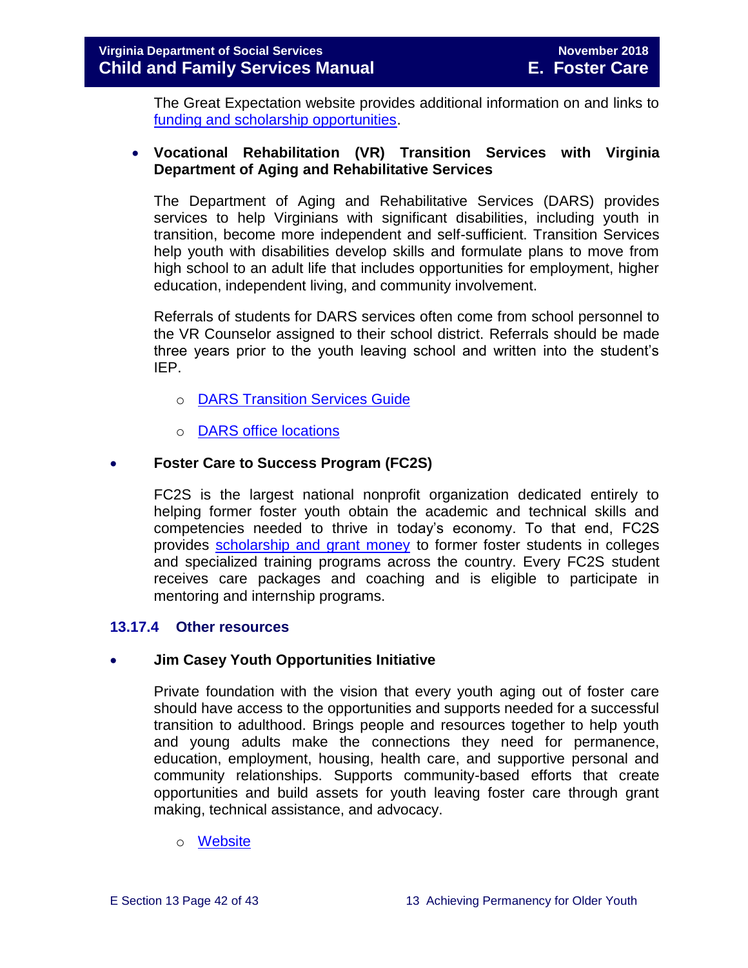The Great Expectation website provides additional information on and links to [funding and scholarship opportunities.](http://greatexpectations.vccs.edu/school/financial-aid/scholarships/)

#### **Vocational Rehabilitation (VR) Transition Services with Virginia Department of Aging and Rehabilitative Services**

The Department of Aging and Rehabilitative Services (DARS) provides services to help Virginians with significant disabilities, including youth in transition, become more independent and self-sufficient. Transition Services help youth with disabilities develop skills and formulate plans to move from high school to an adult life that includes opportunities for employment, higher education, independent living, and community involvement.

Referrals of students for DARS services often come from school personnel to the VR Counselor assigned to their school district. Referrals should be made three years prior to the youth leaving school and written into the student's IEP.

- o [DARS Transition Services Guide](http://www.vadrs.org/transitionservices.htm)
- o [DARS office locations](http://www.vadrs.org/offices.aspx)

#### **Foster Care to Success Program (FC2S)**

FC2S is the largest national nonprofit organization dedicated entirely to helping former foster youth obtain the academic and technical skills and competencies needed to thrive in today's economy. To that end, FC2S provides [scholarship and grant money](http://www.fc2success.org/) to former foster students in colleges and specialized training programs across the country. Every FC2S student receives care packages and coaching and is eligible to participate in mentoring and internship programs.

#### <span id="page-41-0"></span>**13.17.4 Other resources**

#### **Jim Casey Youth Opportunities Initiative**

Private foundation with the vision that every youth aging out of foster care should have access to the opportunities and supports needed for a successful transition to adulthood. Brings people and resources together to help youth and young adults make the connections they need for permanence, education, employment, housing, health care, and supportive personal and community relationships. Supports community-based efforts that create opportunities and build assets for youth leaving foster care through grant making, technical assistance, and advocacy.

#### o [Website](http://www.jimcaseyyouth.org/)